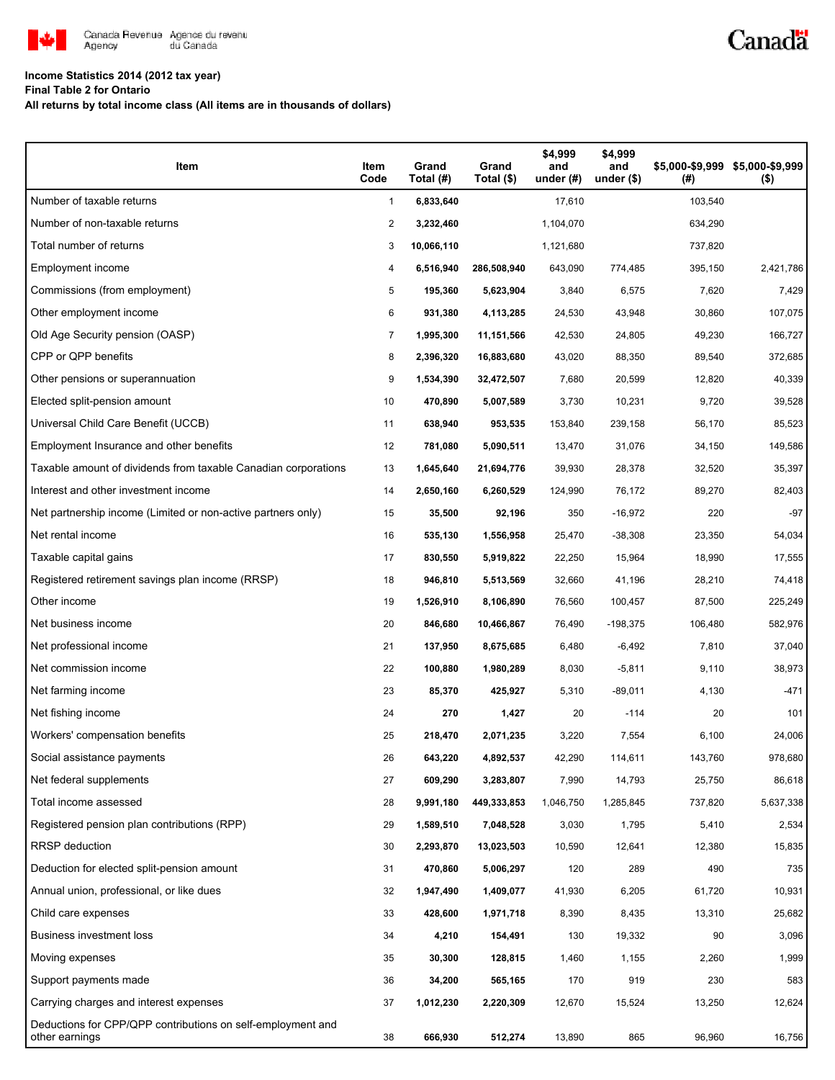

### **Income Statistics 2014 (2012 tax year)**

**Final Table 2 for Ontario**

**All returns by total income class (All items are in thousands of dollars)**

| Item                                                                          | Item<br>Code   | Grand<br>Total (#) | Grand<br>Total (\$) | \$4,999<br>and<br>under $(H)$ | \$4,999<br>and<br>under $($)$ | (#)     | \$5,000-\$9,999 \$5,000-\$9,999<br>$($ \$) |
|-------------------------------------------------------------------------------|----------------|--------------------|---------------------|-------------------------------|-------------------------------|---------|--------------------------------------------|
| Number of taxable returns                                                     | $\mathbf{1}$   | 6,833,640          |                     | 17,610                        |                               | 103,540 |                                            |
| Number of non-taxable returns                                                 | $\overline{2}$ | 3,232,460          |                     | 1,104,070                     |                               | 634,290 |                                            |
| Total number of returns                                                       | 3              | 10,066,110         |                     | 1,121,680                     |                               | 737,820 |                                            |
| Employment income                                                             | 4              | 6,516,940          | 286,508,940         | 643,090                       | 774,485                       | 395,150 | 2,421,786                                  |
| Commissions (from employment)                                                 | 5              | 195,360            | 5,623,904           | 3,840                         | 6,575                         | 7,620   | 7,429                                      |
| Other employment income                                                       | 6              | 931,380            | 4,113,285           | 24,530                        | 43,948                        | 30,860  | 107,075                                    |
| Old Age Security pension (OASP)                                               | 7              | 1,995,300          | 11,151,566          | 42,530                        | 24,805                        | 49,230  | 166,727                                    |
| CPP or QPP benefits                                                           | 8              | 2,396,320          | 16,883,680          | 43,020                        | 88,350                        | 89,540  | 372,685                                    |
| Other pensions or superannuation                                              | 9              | 1,534,390          | 32,472,507          | 7,680                         | 20,599                        | 12,820  | 40,339                                     |
| Elected split-pension amount                                                  | 10             | 470,890            | 5,007,589           | 3,730                         | 10,231                        | 9,720   | 39,528                                     |
| Universal Child Care Benefit (UCCB)                                           | 11             | 638,940            | 953,535             | 153,840                       | 239,158                       | 56,170  | 85,523                                     |
| Employment Insurance and other benefits                                       | 12             | 781,080            | 5,090,511           | 13,470                        | 31,076                        | 34,150  | 149,586                                    |
| Taxable amount of dividends from taxable Canadian corporations                | 13             | 1,645,640          | 21,694,776          | 39,930                        | 28,378                        | 32,520  | 35,397                                     |
| Interest and other investment income                                          | 14             | 2,650,160          | 6,260,529           | 124,990                       | 76,172                        | 89,270  | 82,403                                     |
| Net partnership income (Limited or non-active partners only)                  | 15             | 35,500             | 92,196              | 350                           | $-16,972$                     | 220     | $-97$                                      |
| Net rental income                                                             | 16             | 535,130            | 1,556,958           | 25,470                        | $-38,308$                     | 23,350  | 54,034                                     |
| Taxable capital gains                                                         | 17             | 830,550            | 5,919,822           | 22,250                        | 15,964                        | 18,990  | 17,555                                     |
| Registered retirement savings plan income (RRSP)                              | 18             | 946,810            | 5,513,569           | 32,660                        | 41,196                        | 28,210  | 74,418                                     |
| Other income                                                                  | 19             | 1,526,910          | 8,106,890           | 76,560                        | 100,457                       | 87,500  | 225,249                                    |
| Net business income                                                           | 20             | 846,680            | 10,466,867          | 76,490                        | $-198,375$                    | 106,480 | 582,976                                    |
| Net professional income                                                       | 21             | 137,950            | 8,675,685           | 6,480                         | $-6,492$                      | 7,810   | 37,040                                     |
| Net commission income                                                         | 22             | 100,880            | 1,980,289           | 8,030                         | $-5,811$                      | 9,110   | 38,973                                     |
| Net farming income                                                            | 23             | 85,370             | 425,927             | 5,310                         | $-89,011$                     | 4,130   | $-471$                                     |
| Net fishing income                                                            | 24             | 270                | 1,427               | 20                            | $-114$                        | 20      | 101                                        |
| Workers' compensation benefits                                                | 25             | 218,470            | 2,071,235           | 3,220                         | 7,554                         | 6,100   | 24,006                                     |
| Social assistance payments                                                    | 26             | 643,220            | 4,892,537           | 42,290                        | 114,611                       | 143,760 | 978,680                                    |
| Net federal supplements                                                       | 27             | 609,290            | 3,283,807           | 7,990                         | 14,793                        | 25,750  | 86,618                                     |
| Total income assessed                                                         | 28             | 9,991,180          | 449,333,853         | 1,046,750                     | 1,285,845                     | 737,820 | 5,637,338                                  |
| Registered pension plan contributions (RPP)                                   | 29             | 1,589,510          | 7,048,528           | 3,030                         | 1,795                         | 5,410   | 2,534                                      |
| RRSP deduction                                                                | 30             | 2,293,870          | 13,023,503          | 10,590                        | 12,641                        | 12,380  | 15,835                                     |
| Deduction for elected split-pension amount                                    | 31             | 470,860            | 5,006,297           | 120                           | 289                           | 490     | 735                                        |
| Annual union, professional, or like dues                                      | 32             | 1,947,490          | 1,409,077           | 41,930                        | 6,205                         | 61,720  | 10,931                                     |
| Child care expenses                                                           | 33             | 428,600            | 1,971,718           | 8,390                         | 8,435                         | 13,310  | 25,682                                     |
| Business investment loss                                                      | 34             | 4,210              | 154,491             | 130                           | 19,332                        | 90      | 3,096                                      |
| Moving expenses                                                               | 35             | 30,300             | 128,815             | 1,460                         | 1,155                         | 2,260   | 1,999                                      |
| Support payments made                                                         | 36             | 34,200             | 565,165             | 170                           | 919                           | 230     | 583                                        |
| Carrying charges and interest expenses                                        | 37             | 1,012,230          | 2,220,309           | 12,670                        | 15,524                        | 13,250  | 12,624                                     |
| Deductions for CPP/QPP contributions on self-employment and<br>other earnings | 38             | 666,930            | 512,274             | 13,890                        | 865                           | 96,960  | 16,756                                     |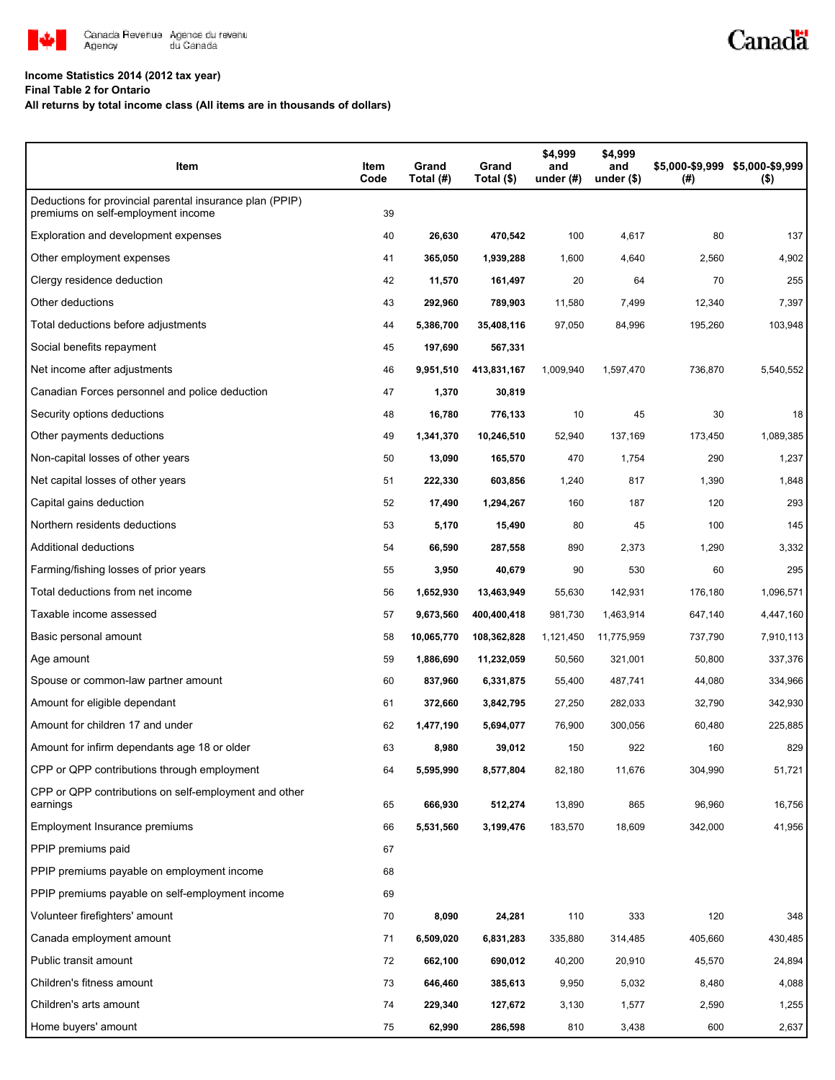

### **Income Statistics 2014 (2012 tax year)**

**Final Table 2 for Ontario**

### **All returns by total income class (All items are in thousands of dollars)**

| Item                                                                                           | Item<br>Code | Grand<br>Total (#) | Grand<br>Total (\$) | \$4,999<br>and<br>under $(#)$ | \$4,999<br>and<br>under $($)$ | (# )    | \$5,000-\$9,999 \$5,000-\$9,999<br>$($ \$) |
|------------------------------------------------------------------------------------------------|--------------|--------------------|---------------------|-------------------------------|-------------------------------|---------|--------------------------------------------|
| Deductions for provincial parental insurance plan (PPIP)<br>premiums on self-employment income | 39           |                    |                     |                               |                               |         |                                            |
| Exploration and development expenses                                                           | 40           | 26,630             | 470,542             | 100                           | 4,617                         | 80      | 137                                        |
| Other employment expenses                                                                      | 41           | 365,050            | 1,939,288           | 1,600                         | 4,640                         | 2,560   | 4,902                                      |
| Clergy residence deduction                                                                     | 42           | 11,570             | 161,497             | 20                            | 64                            | 70      | 255                                        |
| Other deductions                                                                               | 43           | 292,960            | 789,903             | 11,580                        | 7,499                         | 12,340  | 7,397                                      |
| Total deductions before adjustments                                                            | 44           | 5,386,700          | 35,408,116          | 97,050                        | 84,996                        | 195,260 | 103,948                                    |
| Social benefits repayment                                                                      | 45           | 197,690            | 567,331             |                               |                               |         |                                            |
| Net income after adjustments                                                                   | 46           | 9,951,510          | 413,831,167         | 1,009,940                     | 1,597,470                     | 736,870 | 5,540,552                                  |
| Canadian Forces personnel and police deduction                                                 | 47           | 1,370              | 30,819              |                               |                               |         |                                            |
| Security options deductions                                                                    | 48           | 16,780             | 776,133             | 10                            | 45                            | 30      | 18                                         |
| Other payments deductions                                                                      | 49           | 1,341,370          | 10,246,510          | 52,940                        | 137,169                       | 173,450 | 1,089,385                                  |
| Non-capital losses of other years                                                              | 50           | 13,090             | 165,570             | 470                           | 1,754                         | 290     | 1,237                                      |
| Net capital losses of other years                                                              | 51           | 222,330            | 603,856             | 1,240                         | 817                           | 1,390   | 1,848                                      |
| Capital gains deduction                                                                        | 52           | 17,490             | 1,294,267           | 160                           | 187                           | 120     | 293                                        |
| Northern residents deductions                                                                  | 53           | 5,170              | 15,490              | 80                            | 45                            | 100     | 145                                        |
| Additional deductions                                                                          | 54           | 66,590             | 287,558             | 890                           | 2,373                         | 1,290   | 3,332                                      |
| Farming/fishing losses of prior years                                                          | 55           | 3,950              | 40,679              | 90                            | 530                           | 60      | 295                                        |
| Total deductions from net income                                                               | 56           | 1,652,930          | 13,463,949          | 55,630                        | 142,931                       | 176,180 | 1,096,571                                  |
| Taxable income assessed                                                                        | 57           | 9,673,560          | 400,400,418         | 981,730                       | 1,463,914                     | 647,140 | 4,447,160                                  |
| Basic personal amount                                                                          | 58           | 10,065,770         | 108,362,828         | 1,121,450                     | 11,775,959                    | 737,790 | 7,910,113                                  |
| Age amount                                                                                     | 59           | 1,886,690          | 11,232,059          | 50,560                        | 321,001                       | 50,800  | 337,376                                    |
| Spouse or common-law partner amount                                                            | 60           | 837,960            | 6,331,875           | 55,400                        | 487,741                       | 44,080  | 334,966                                    |
| Amount for eligible dependant                                                                  | 61           | 372,660            | 3,842,795           | 27,250                        | 282,033                       | 32,790  | 342,930                                    |
| Amount for children 17 and under                                                               | 62           | 1,477,190          | 5,694,077           | 76,900                        | 300,056                       | 60,480  | 225,885                                    |
| Amount for infirm dependants age 18 or older                                                   | 63           | 8,980              | 39,012              | 150                           | 922                           | 160     | 829                                        |
| CPP or QPP contributions through employment                                                    | 64           | 5,595,990          | 8,577,804           | 82,180                        | 11,676                        | 304,990 | 51,721                                     |
| CPP or QPP contributions on self-employment and other<br>earnings                              | 65           | 666,930            | 512,274             | 13,890                        | 865                           | 96,960  | 16,756                                     |
| Employment Insurance premiums                                                                  | 66           | 5,531,560          | 3,199,476           | 183,570                       | 18,609                        | 342,000 | 41,956                                     |
| PPIP premiums paid                                                                             | 67           |                    |                     |                               |                               |         |                                            |
| PPIP premiums payable on employment income                                                     | 68           |                    |                     |                               |                               |         |                                            |
| PPIP premiums payable on self-employment income                                                | 69           |                    |                     |                               |                               |         |                                            |
| Volunteer firefighters' amount                                                                 | 70           | 8,090              | 24,281              | 110                           | 333                           | 120     | 348                                        |
| Canada employment amount                                                                       | 71           | 6,509,020          | 6,831,283           | 335,880                       | 314,485                       | 405,660 | 430,485                                    |
| Public transit amount                                                                          | 72           | 662,100            | 690,012             | 40,200                        | 20,910                        | 45,570  | 24,894                                     |
| Children's fitness amount                                                                      | 73           | 646,460            | 385,613             | 9,950                         | 5,032                         | 8,480   | 4,088                                      |
| Children's arts amount                                                                         | 74           | 229,340            | 127,672             | 3,130                         | 1,577                         | 2,590   | 1,255                                      |
| Home buyers' amount                                                                            | 75           | 62,990             | 286,598             | 810                           | 3,438                         | 600     | 2,637                                      |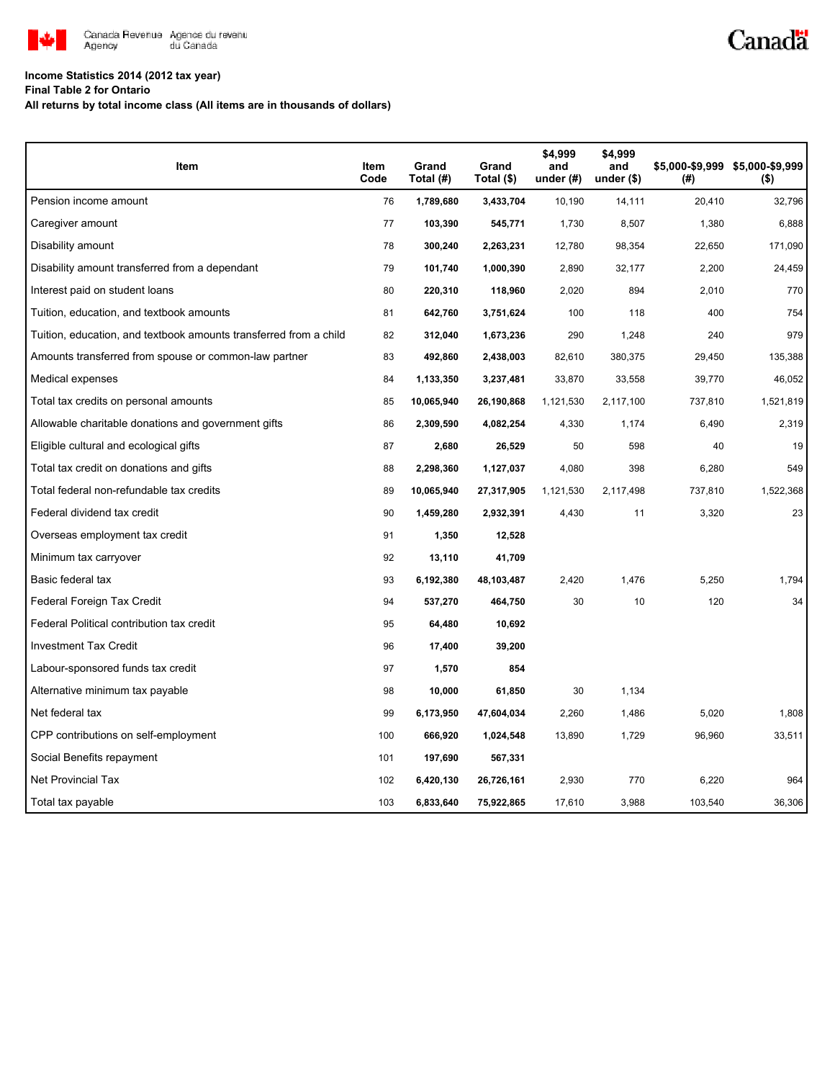

# Canadä

## **Income Statistics 2014 (2012 tax year)**

**Final Table 2 for Ontario**

**All returns by total income class (All items are in thousands of dollars)**

| Item                                                              | Item<br>Code | Grand<br>Total (#) | Grand<br>Total (\$) | \$4,999<br>and<br>under $(H)$ | \$4,999<br>and<br>under $($)$ | (#)     | \$5,000-\$9,999 \$5,000-\$9,999<br>$($ \$) |
|-------------------------------------------------------------------|--------------|--------------------|---------------------|-------------------------------|-------------------------------|---------|--------------------------------------------|
| Pension income amount                                             | 76           | 1,789,680          | 3,433,704           | 10,190                        | 14,111                        | 20,410  | 32,796                                     |
| Caregiver amount                                                  | 77           | 103,390            | 545,771             | 1,730                         | 8,507                         | 1,380   | 6,888                                      |
| Disability amount                                                 | 78           | 300,240            | 2,263,231           | 12,780                        | 98,354                        | 22,650  | 171,090                                    |
| Disability amount transferred from a dependant                    | 79           | 101,740            | 1,000,390           | 2,890                         | 32,177                        | 2,200   | 24,459                                     |
| Interest paid on student loans                                    | 80           | 220,310            | 118,960             | 2,020                         | 894                           | 2,010   | 770                                        |
| Tuition, education, and textbook amounts                          | 81           | 642,760            | 3,751,624           | 100                           | 118                           | 400     | 754                                        |
| Tuition, education, and textbook amounts transferred from a child | 82           | 312,040            | 1,673,236           | 290                           | 1,248                         | 240     | 979                                        |
| Amounts transferred from spouse or common-law partner             | 83           | 492,860            | 2,438,003           | 82,610                        | 380,375                       | 29,450  | 135,388                                    |
| Medical expenses                                                  | 84           | 1,133,350          | 3,237,481           | 33,870                        | 33,558                        | 39,770  | 46,052                                     |
| Total tax credits on personal amounts                             | 85           | 10,065,940         | 26,190,868          | 1,121,530                     | 2,117,100                     | 737,810 | 1,521,819                                  |
| Allowable charitable donations and government gifts               | 86           | 2,309,590          | 4,082,254           | 4,330                         | 1,174                         | 6,490   | 2,319                                      |
| Eligible cultural and ecological gifts                            | 87           | 2,680              | 26,529              | 50                            | 598                           | 40      | 19                                         |
| Total tax credit on donations and gifts                           | 88           | 2,298,360          | 1,127,037           | 4,080                         | 398                           | 6,280   | 549                                        |
| Total federal non-refundable tax credits                          | 89           | 10,065,940         | 27,317,905          | 1,121,530                     | 2,117,498                     | 737,810 | 1,522,368                                  |
| Federal dividend tax credit                                       | 90           | 1,459,280          | 2,932,391           | 4,430                         | 11                            | 3,320   | 23                                         |
| Overseas employment tax credit                                    | 91           | 1,350              | 12,528              |                               |                               |         |                                            |
| Minimum tax carryover                                             | 92           | 13,110             | 41,709              |                               |                               |         |                                            |
| Basic federal tax                                                 | 93           | 6,192,380          | 48,103,487          | 2,420                         | 1,476                         | 5,250   | 1.794                                      |
| Federal Foreign Tax Credit                                        | 94           | 537,270            | 464,750             | 30                            | 10                            | 120     | 34                                         |
| Federal Political contribution tax credit                         | 95           | 64,480             | 10,692              |                               |                               |         |                                            |
| <b>Investment Tax Credit</b>                                      | 96           | 17,400             | 39,200              |                               |                               |         |                                            |
| Labour-sponsored funds tax credit                                 | 97           | 1,570              | 854                 |                               |                               |         |                                            |
| Alternative minimum tax payable                                   | 98           | 10,000             | 61,850              | 30                            | 1,134                         |         |                                            |
| Net federal tax                                                   | 99           | 6,173,950          | 47,604,034          | 2,260                         | 1,486                         | 5,020   | 1,808                                      |
| CPP contributions on self-employment                              | 100          | 666,920            | 1,024,548           | 13,890                        | 1,729                         | 96,960  | 33,511                                     |
| Social Benefits repayment                                         | 101          | 197,690            | 567,331             |                               |                               |         |                                            |
| <b>Net Provincial Tax</b>                                         | 102          | 6,420,130          | 26,726,161          | 2,930                         | 770                           | 6,220   | 964                                        |
| Total tax payable                                                 | 103          | 6,833,640          | 75,922,865          | 17,610                        | 3,988                         | 103,540 | 36,306                                     |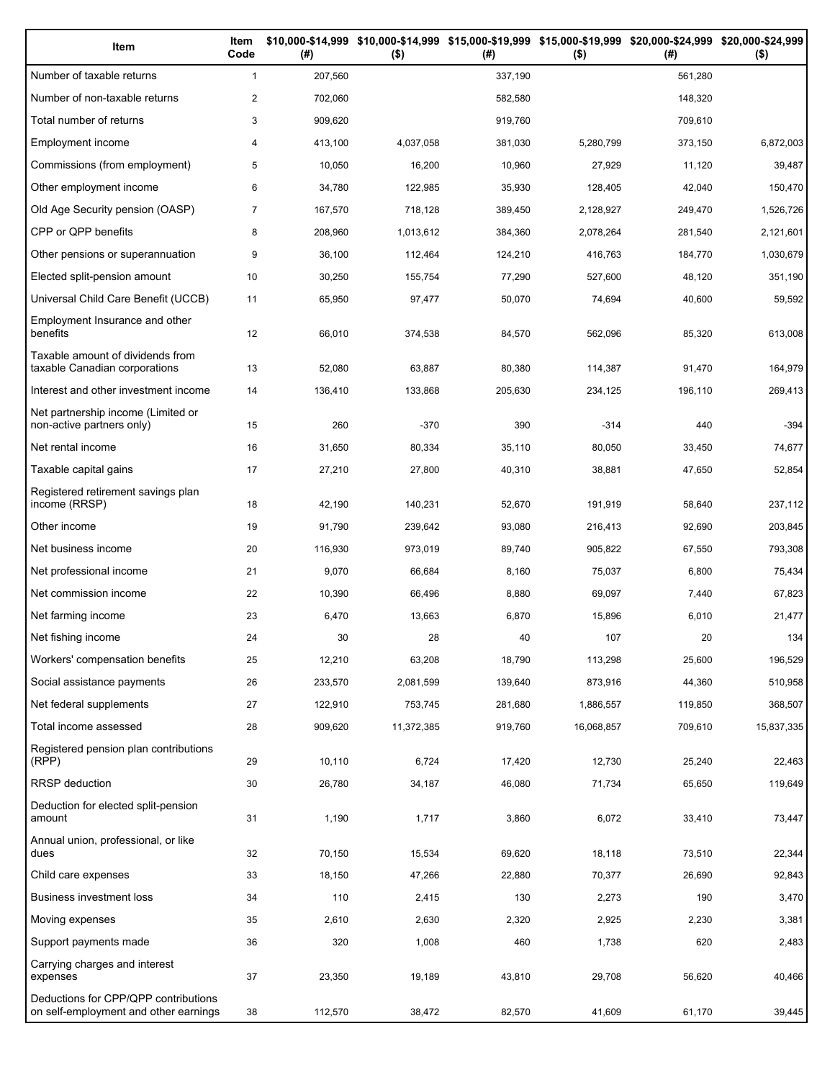| Item                                                                          | Item<br>Code   | (# )    | \$10,000-\$14,999 \$10,000-\$14,999 \$15,000-\$19,999 \$15,000-\$19,999 \$20,000-\$24,999 \$20,000-\$24,999<br>$($ \$) | (# )    | $($ \$)    | (#)     | $($ \$)    |
|-------------------------------------------------------------------------------|----------------|---------|------------------------------------------------------------------------------------------------------------------------|---------|------------|---------|------------|
| Number of taxable returns                                                     | $\mathbf{1}$   | 207,560 |                                                                                                                        | 337,190 |            | 561,280 |            |
| Number of non-taxable returns                                                 | $\overline{c}$ | 702,060 |                                                                                                                        | 582,580 |            | 148,320 |            |
| Total number of returns                                                       | 3              | 909,620 |                                                                                                                        | 919,760 |            | 709,610 |            |
| Employment income                                                             | 4              | 413,100 | 4,037,058                                                                                                              | 381,030 | 5,280,799  | 373,150 | 6,872,003  |
| Commissions (from employment)                                                 | 5              | 10,050  | 16,200                                                                                                                 | 10,960  | 27,929     | 11,120  | 39,487     |
| Other employment income                                                       | 6              | 34,780  | 122,985                                                                                                                | 35,930  | 128,405    | 42,040  | 150,470    |
| Old Age Security pension (OASP)                                               | $\overline{7}$ | 167,570 | 718,128                                                                                                                | 389,450 | 2,128,927  | 249,470 | 1,526,726  |
| CPP or QPP benefits                                                           | 8              | 208,960 | 1,013,612                                                                                                              | 384,360 | 2,078,264  | 281,540 | 2,121,601  |
| Other pensions or superannuation                                              | 9              | 36,100  | 112,464                                                                                                                | 124,210 | 416,763    | 184,770 | 1,030,679  |
| Elected split-pension amount                                                  | 10             | 30,250  | 155,754                                                                                                                | 77,290  | 527,600    | 48,120  | 351,190    |
| Universal Child Care Benefit (UCCB)                                           | 11             | 65,950  | 97,477                                                                                                                 | 50,070  | 74,694     | 40,600  | 59,592     |
| Employment Insurance and other<br>benefits                                    | 12             | 66,010  | 374,538                                                                                                                | 84,570  | 562,096    | 85,320  | 613,008    |
| Taxable amount of dividends from<br>taxable Canadian corporations             | 13             | 52,080  | 63,887                                                                                                                 | 80,380  | 114,387    | 91,470  | 164,979    |
| Interest and other investment income                                          | 14             | 136,410 | 133,868                                                                                                                | 205,630 | 234,125    | 196,110 | 269,413    |
| Net partnership income (Limited or<br>non-active partners only)               | 15             | 260     | $-370$                                                                                                                 | 390     | $-314$     | 440     | $-394$     |
| Net rental income                                                             | 16             | 31,650  | 80,334                                                                                                                 | 35,110  | 80,050     | 33,450  | 74,677     |
| Taxable capital gains                                                         | 17             | 27,210  | 27,800                                                                                                                 | 40,310  | 38,881     | 47,650  | 52,854     |
| Registered retirement savings plan<br>income (RRSP)                           | 18             | 42,190  | 140,231                                                                                                                | 52,670  | 191,919    | 58,640  | 237,112    |
| Other income                                                                  | 19             | 91,790  | 239,642                                                                                                                | 93,080  | 216,413    | 92,690  | 203,845    |
| Net business income                                                           | 20             | 116,930 | 973,019                                                                                                                | 89,740  | 905,822    | 67,550  | 793,308    |
| Net professional income                                                       | 21             | 9,070   | 66,684                                                                                                                 | 8,160   | 75,037     | 6,800   | 75,434     |
| Net commission income                                                         | 22             | 10,390  | 66,496                                                                                                                 | 8,880   | 69,097     | 7,440   | 67,823     |
| Net farming income                                                            | 23             | 6,470   | 13,663                                                                                                                 | 6,870   | 15,896     | 6,010   | 21,477     |
| Net fishing income                                                            | 24             | 30      | 28                                                                                                                     | 40      | 107        | 20      | 134        |
| Workers' compensation benefits                                                | 25             | 12,210  | 63,208                                                                                                                 | 18,790  | 113,298    | 25,600  | 196,529    |
| Social assistance payments                                                    | 26             | 233,570 | 2,081,599                                                                                                              | 139,640 | 873,916    | 44,360  | 510,958    |
| Net federal supplements                                                       | 27             | 122,910 | 753,745                                                                                                                | 281,680 | 1,886,557  | 119,850 | 368,507    |
| Total income assessed                                                         | 28             | 909,620 | 11,372,385                                                                                                             | 919,760 | 16,068,857 | 709,610 | 15,837,335 |
| Registered pension plan contributions<br>(RPP)                                | 29             | 10,110  | 6,724                                                                                                                  | 17,420  | 12,730     | 25,240  | 22,463     |
| RRSP deduction                                                                | 30             | 26,780  | 34,187                                                                                                                 | 46,080  | 71,734     | 65,650  | 119,649    |
| Deduction for elected split-pension<br>amount                                 | 31             | 1,190   | 1,717                                                                                                                  | 3,860   | 6,072      | 33,410  | 73,447     |
| Annual union, professional, or like<br>dues                                   | 32             | 70,150  | 15,534                                                                                                                 | 69,620  | 18,118     | 73,510  | 22,344     |
| Child care expenses                                                           | 33             | 18,150  | 47,266                                                                                                                 | 22,880  | 70,377     | 26,690  | 92,843     |
| Business investment loss                                                      | 34             | 110     | 2,415                                                                                                                  | 130     | 2,273      | 190     | 3,470      |
| Moving expenses                                                               | 35             | 2,610   | 2,630                                                                                                                  | 2,320   | 2,925      | 2,230   | 3,381      |
| Support payments made                                                         | 36             | 320     | 1,008                                                                                                                  | 460     | 1,738      | 620     | 2,483      |
| Carrying charges and interest<br>expenses                                     | 37             | 23,350  | 19,189                                                                                                                 | 43,810  | 29,708     | 56,620  | 40,466     |
| Deductions for CPP/QPP contributions<br>on self-employment and other earnings | 38             | 112,570 | 38,472                                                                                                                 | 82,570  | 41,609     | 61,170  | 39,445     |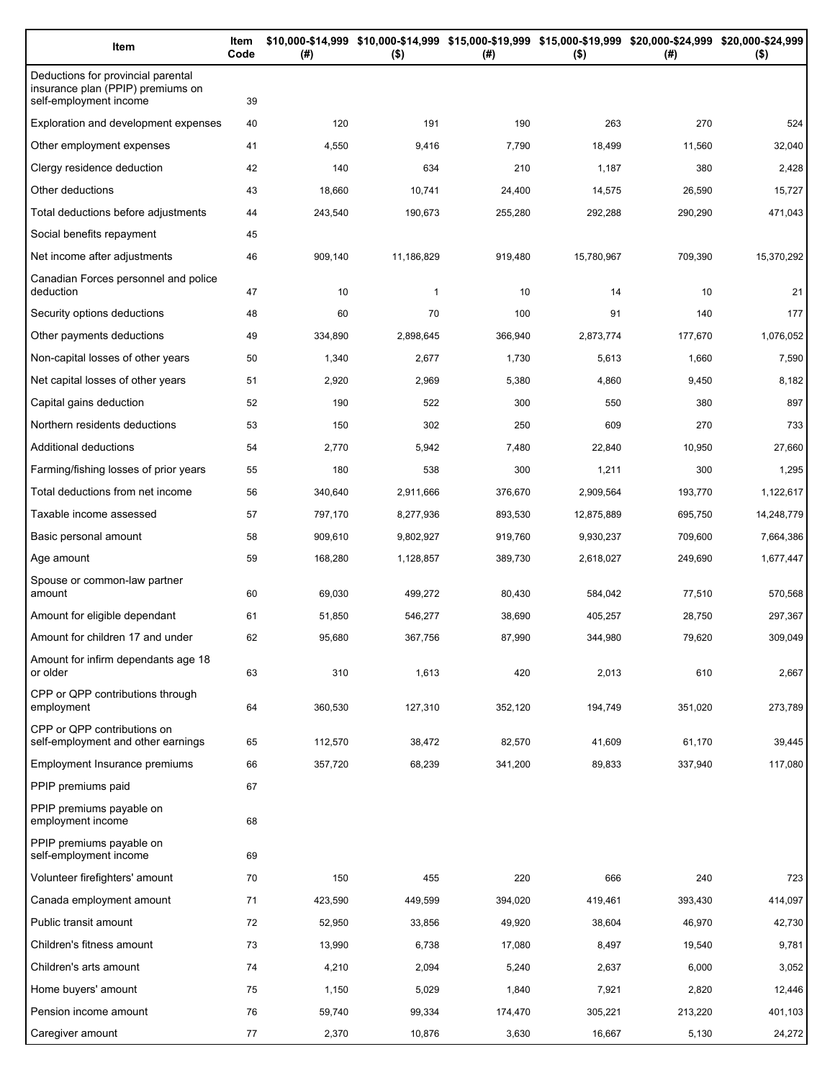| Item                                                                                              | Item<br>Code | (#)     | $($ \$)      | \$10,000-\$14,999 \$10,000-\$14,999 \$15,000-\$19,999 \$15,000-\$19,999 \$20,000-\$24,999 \$20,000-\$24,999<br>(#) | $($ \$)    | (#)     | $($ \$)    |
|---------------------------------------------------------------------------------------------------|--------------|---------|--------------|--------------------------------------------------------------------------------------------------------------------|------------|---------|------------|
| Deductions for provincial parental<br>insurance plan (PPIP) premiums on<br>self-employment income | 39           |         |              |                                                                                                                    |            |         |            |
| Exploration and development expenses                                                              | 40           | 120     | 191          | 190                                                                                                                | 263        | 270     | 524        |
| Other employment expenses                                                                         | 41           | 4,550   | 9,416        | 7,790                                                                                                              | 18,499     | 11,560  | 32,040     |
| Clergy residence deduction                                                                        | 42           | 140     | 634          | 210                                                                                                                | 1,187      | 380     | 2,428      |
| Other deductions                                                                                  | 43           | 18,660  | 10,741       | 24,400                                                                                                             | 14,575     | 26,590  | 15,727     |
| Total deductions before adjustments                                                               | 44           | 243,540 | 190,673      | 255,280                                                                                                            | 292,288    | 290,290 | 471,043    |
| Social benefits repayment                                                                         | 45           |         |              |                                                                                                                    |            |         |            |
| Net income after adjustments                                                                      | 46           | 909,140 | 11,186,829   | 919,480                                                                                                            | 15,780,967 | 709,390 | 15,370,292 |
| Canadian Forces personnel and police<br>deduction                                                 | 47           | 10      | $\mathbf{1}$ | 10                                                                                                                 | 14         | 10      | 21         |
| Security options deductions                                                                       | 48           | 60      | 70           | 100                                                                                                                | 91         | 140     | 177        |
| Other payments deductions                                                                         | 49           | 334,890 | 2,898,645    | 366,940                                                                                                            | 2,873,774  | 177,670 | 1,076,052  |
| Non-capital losses of other years                                                                 | 50           | 1,340   | 2,677        | 1,730                                                                                                              | 5,613      | 1,660   | 7,590      |
| Net capital losses of other years                                                                 | 51           | 2,920   | 2,969        | 5,380                                                                                                              | 4,860      | 9,450   | 8,182      |
| Capital gains deduction                                                                           | 52           | 190     | 522          | 300                                                                                                                | 550        | 380     | 897        |
| Northern residents deductions                                                                     | 53           | 150     | 302          | 250                                                                                                                | 609        | 270     | 733        |
| Additional deductions                                                                             | 54           | 2,770   | 5,942        | 7,480                                                                                                              | 22,840     | 10,950  | 27,660     |
| Farming/fishing losses of prior years                                                             | 55           | 180     | 538          | 300                                                                                                                | 1,211      | 300     | 1,295      |
| Total deductions from net income                                                                  | 56           | 340,640 | 2,911,666    | 376,670                                                                                                            | 2,909,564  | 193,770 | 1,122,617  |
| Taxable income assessed                                                                           | 57           | 797,170 | 8,277,936    | 893,530                                                                                                            | 12,875,889 | 695,750 | 14,248,779 |
| Basic personal amount                                                                             | 58           | 909,610 | 9,802,927    | 919,760                                                                                                            | 9,930,237  | 709,600 | 7,664,386  |
| Age amount                                                                                        | 59           | 168,280 | 1,128,857    | 389,730                                                                                                            | 2,618,027  | 249,690 | 1,677,447  |
| Spouse or common-law partner<br>amount                                                            | 60           | 69,030  | 499,272      | 80,430                                                                                                             | 584,042    | 77,510  | 570,568    |
| Amount for eligible dependant                                                                     | 61           | 51,850  | 546,277      | 38,690                                                                                                             | 405,257    | 28,750  | 297,367    |
| Amount for children 17 and under                                                                  | 62           | 95,680  | 367,756      | 87,990                                                                                                             | 344,980    | 79,620  | 309,049    |
| Amount for infirm dependants age 18<br>or older                                                   | 63           | 310     | 1,613        | 420                                                                                                                | 2,013      | 610     | 2,667      |
| CPP or QPP contributions through<br>employment                                                    | 64           | 360,530 | 127,310      | 352,120                                                                                                            | 194,749    | 351,020 | 273,789    |
| CPP or QPP contributions on<br>self-employment and other earnings                                 | 65           | 112,570 | 38,472       | 82,570                                                                                                             | 41,609     | 61,170  | 39,445     |
| Employment Insurance premiums                                                                     | 66           | 357,720 | 68,239       | 341,200                                                                                                            | 89,833     | 337,940 | 117,080    |
| PPIP premiums paid                                                                                | 67           |         |              |                                                                                                                    |            |         |            |
| PPIP premiums payable on<br>employment income                                                     | 68           |         |              |                                                                                                                    |            |         |            |
| PPIP premiums payable on<br>self-employment income                                                | 69           |         |              |                                                                                                                    |            |         |            |
| Volunteer firefighters' amount                                                                    | 70           | 150     | 455          | 220                                                                                                                | 666        | 240     | 723        |
| Canada employment amount                                                                          | 71           | 423,590 | 449,599      | 394,020                                                                                                            | 419,461    | 393,430 | 414,097    |
| Public transit amount                                                                             | 72           | 52,950  | 33,856       | 49,920                                                                                                             | 38,604     | 46,970  | 42,730     |
| Children's fitness amount                                                                         | 73           | 13,990  | 6,738        | 17,080                                                                                                             | 8,497      | 19,540  | 9,781      |
| Children's arts amount                                                                            | 74           | 4,210   | 2,094        | 5,240                                                                                                              | 2,637      | 6,000   | 3,052      |
| Home buyers' amount                                                                               | 75           | 1,150   | 5,029        | 1,840                                                                                                              | 7,921      | 2,820   | 12,446     |
| Pension income amount                                                                             | 76           | 59,740  | 99,334       | 174,470                                                                                                            | 305,221    | 213,220 | 401,103    |
| Caregiver amount                                                                                  | 77           | 2,370   | 10,876       | 3,630                                                                                                              | 16,667     | 5,130   | 24,272     |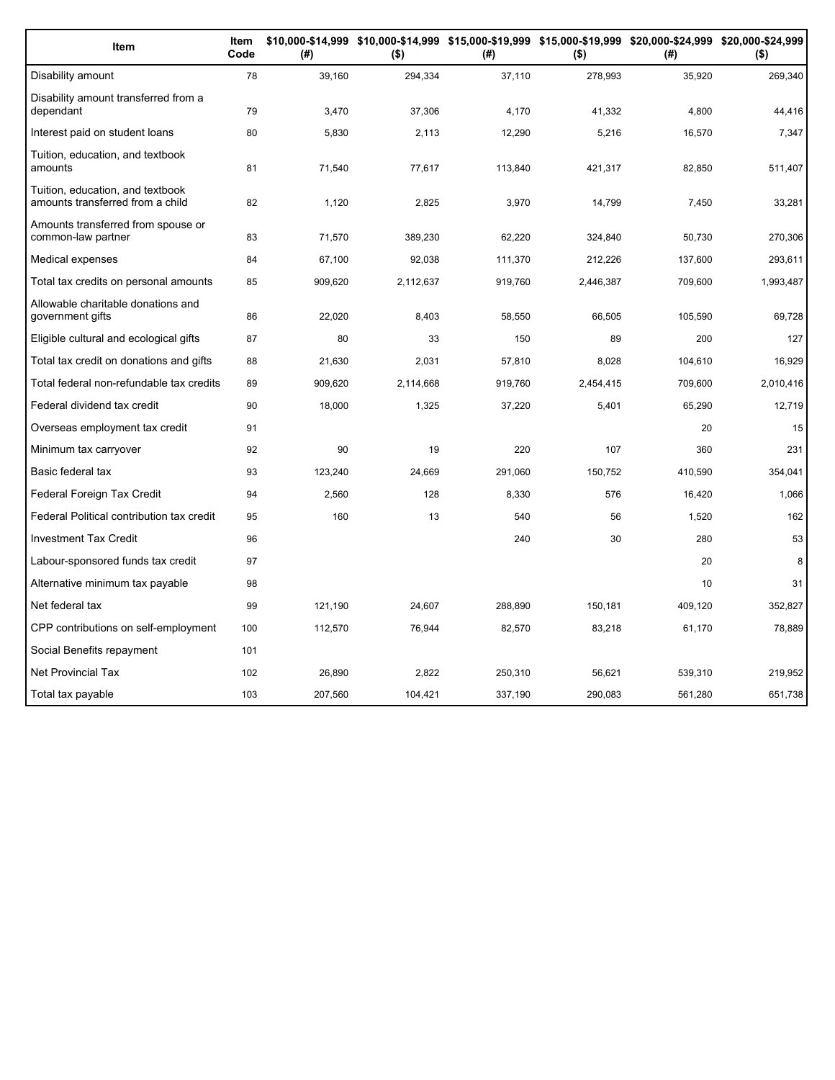| Item                                                                 | Item<br>Code | (#)     | \$10,000-\$14,999 \$10,000-\$14,999 \$15,000-\$19,999 \$15,000-\$19,999 \$20,000-\$24,999 \$20,000-\$24,999<br>$($ \$) | (#)     | $($ \$)   | (# )    | $($ \$)   |
|----------------------------------------------------------------------|--------------|---------|------------------------------------------------------------------------------------------------------------------------|---------|-----------|---------|-----------|
| Disability amount                                                    | 78           | 39,160  | 294,334                                                                                                                | 37,110  | 278,993   | 35,920  | 269,340   |
| Disability amount transferred from a<br>dependant                    | 79           | 3,470   | 37,306                                                                                                                 | 4,170   | 41,332    | 4,800   | 44,416    |
| Interest paid on student loans                                       | 80           | 5,830   | 2,113                                                                                                                  | 12,290  | 5,216     | 16,570  | 7,347     |
| Tuition, education, and textbook<br>amounts                          | 81           | 71,540  | 77,617                                                                                                                 | 113,840 | 421,317   | 82,850  | 511,407   |
| Tuition, education, and textbook<br>amounts transferred from a child | 82           | 1,120   | 2,825                                                                                                                  | 3,970   | 14,799    | 7,450   | 33,281    |
| Amounts transferred from spouse or<br>common-law partner             | 83           | 71,570  | 389,230                                                                                                                | 62,220  | 324,840   | 50,730  | 270,306   |
| Medical expenses                                                     | 84           | 67,100  | 92,038                                                                                                                 | 111,370 | 212,226   | 137,600 | 293,611   |
| Total tax credits on personal amounts                                | 85           | 909,620 | 2,112,637                                                                                                              | 919,760 | 2,446,387 | 709,600 | 1,993,487 |
| Allowable charitable donations and<br>government gifts               | 86           | 22,020  | 8,403                                                                                                                  | 58,550  | 66,505    | 105,590 | 69,728    |
| Eligible cultural and ecological gifts                               | 87           | 80      | 33                                                                                                                     | 150     | 89        | 200     | 127       |
| Total tax credit on donations and gifts                              | 88           | 21,630  | 2,031                                                                                                                  | 57,810  | 8,028     | 104,610 | 16,929    |
| Total federal non-refundable tax credits                             | 89           | 909,620 | 2,114,668                                                                                                              | 919,760 | 2,454,415 | 709,600 | 2,010,416 |
| Federal dividend tax credit                                          | 90           | 18,000  | 1,325                                                                                                                  | 37,220  | 5,401     | 65,290  | 12,719    |
| Overseas employment tax credit                                       | 91           |         |                                                                                                                        |         |           | 20      | 15        |
| Minimum tax carryover                                                | 92           | 90      | 19                                                                                                                     | 220     | 107       | 360     | 231       |
| Basic federal tax                                                    | 93           | 123,240 | 24,669                                                                                                                 | 291,060 | 150,752   | 410,590 | 354,041   |
| Federal Foreign Tax Credit                                           | 94           | 2,560   | 128                                                                                                                    | 8,330   | 576       | 16,420  | 1,066     |
| Federal Political contribution tax credit                            | 95           | 160     | 13                                                                                                                     | 540     | 56        | 1,520   | 162       |
| <b>Investment Tax Credit</b>                                         | 96           |         |                                                                                                                        | 240     | 30        | 280     | 53        |
| Labour-sponsored funds tax credit                                    | 97           |         |                                                                                                                        |         |           | 20      | 8         |
| Alternative minimum tax payable                                      | 98           |         |                                                                                                                        |         |           | 10      | 31        |
| Net federal tax                                                      | 99           | 121.190 | 24,607                                                                                                                 | 288,890 | 150,181   | 409,120 | 352,827   |
| CPP contributions on self-employment                                 | 100          | 112,570 | 76,944                                                                                                                 | 82,570  | 83,218    | 61,170  | 78,889    |
| Social Benefits repayment                                            | 101          |         |                                                                                                                        |         |           |         |           |
| <b>Net Provincial Tax</b>                                            | 102          | 26,890  | 2,822                                                                                                                  | 250,310 | 56,621    | 539,310 | 219,952   |
| Total tax payable                                                    | 103          | 207,560 | 104,421                                                                                                                | 337,190 | 290,083   | 561,280 | 651,738   |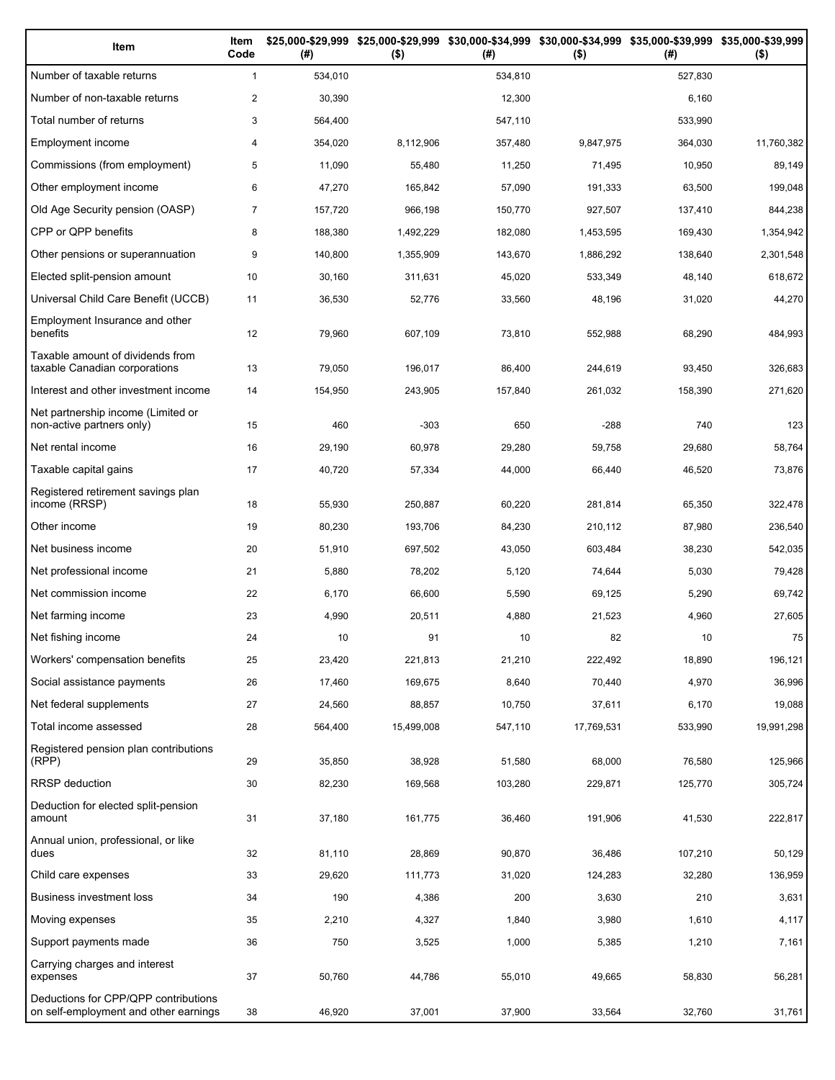| Item                                                                          | Item<br>Code   | (# )    | \$25,000-\$29,999 \$25,000-\$29,999<br>$($ \$) | (#)     | \$30,000-\$34,999 \$30,000-\$34,999 \$35,000-\$39,999 \$35,000-\$39,999<br>$($ \$) | (# )    | $($ \$)    |
|-------------------------------------------------------------------------------|----------------|---------|------------------------------------------------|---------|------------------------------------------------------------------------------------|---------|------------|
| Number of taxable returns                                                     | $\mathbf{1}$   | 534,010 |                                                | 534,810 |                                                                                    | 527,830 |            |
| Number of non-taxable returns                                                 | $\overline{2}$ | 30,390  |                                                | 12,300  |                                                                                    | 6,160   |            |
| Total number of returns                                                       | 3              | 564,400 |                                                | 547,110 |                                                                                    | 533,990 |            |
| Employment income                                                             | 4              | 354,020 | 8,112,906                                      | 357,480 | 9,847,975                                                                          | 364,030 | 11,760,382 |
| Commissions (from employment)                                                 | 5              | 11,090  | 55,480                                         | 11,250  | 71,495                                                                             | 10,950  | 89,149     |
| Other employment income                                                       | 6              | 47,270  | 165,842                                        | 57,090  | 191,333                                                                            | 63,500  | 199,048    |
| Old Age Security pension (OASP)                                               | $\overline{7}$ | 157,720 | 966,198                                        | 150,770 | 927,507                                                                            | 137,410 | 844,238    |
| CPP or QPP benefits                                                           | 8              | 188,380 | 1,492,229                                      | 182,080 | 1,453,595                                                                          | 169,430 | 1,354,942  |
| Other pensions or superannuation                                              | 9              | 140,800 | 1,355,909                                      | 143,670 | 1,886,292                                                                          | 138,640 | 2,301,548  |
| Elected split-pension amount                                                  | 10             | 30,160  | 311,631                                        | 45,020  | 533,349                                                                            | 48,140  | 618,672    |
| Universal Child Care Benefit (UCCB)                                           | 11             | 36,530  | 52,776                                         | 33,560  | 48,196                                                                             | 31,020  | 44,270     |
| Employment Insurance and other<br>benefits                                    | 12             | 79,960  | 607,109                                        | 73,810  | 552,988                                                                            | 68,290  | 484,993    |
| Taxable amount of dividends from<br>taxable Canadian corporations             | 13             | 79,050  | 196,017                                        | 86,400  | 244,619                                                                            | 93,450  | 326,683    |
| Interest and other investment income                                          | 14             | 154,950 | 243,905                                        | 157,840 | 261,032                                                                            | 158,390 | 271,620    |
| Net partnership income (Limited or<br>non-active partners only)               | 15             | 460     | $-303$                                         | 650     | $-288$                                                                             | 740     | 123        |
| Net rental income                                                             | 16             | 29,190  | 60,978                                         | 29,280  | 59,758                                                                             | 29,680  | 58,764     |
| Taxable capital gains                                                         | 17             | 40,720  | 57,334                                         | 44,000  | 66,440                                                                             | 46,520  | 73,876     |
| Registered retirement savings plan<br>income (RRSP)                           | 18             | 55,930  | 250,887                                        | 60,220  | 281,814                                                                            | 65,350  | 322,478    |
| Other income                                                                  | 19             | 80,230  | 193,706                                        | 84,230  | 210,112                                                                            | 87,980  | 236,540    |
| Net business income                                                           | 20             | 51,910  | 697,502                                        | 43,050  | 603,484                                                                            | 38,230  | 542,035    |
| Net professional income                                                       | 21             | 5,880   | 78,202                                         | 5,120   | 74,644                                                                             | 5,030   | 79,428     |
| Net commission income                                                         | 22             | 6,170   | 66,600                                         | 5,590   | 69,125                                                                             | 5,290   | 69,742     |
| Net farming income                                                            | 23             | 4,990   | 20,511                                         | 4,880   | 21,523                                                                             | 4,960   | 27,605     |
| Net fishing income                                                            | 24             | 10      | 91                                             | 10      | 82                                                                                 | 10      | 75         |
| Workers' compensation benefits                                                | 25             | 23,420  | 221,813                                        | 21,210  | 222,492                                                                            | 18,890  | 196,121    |
| Social assistance payments                                                    | 26             | 17,460  | 169,675                                        | 8,640   | 70,440                                                                             | 4,970   | 36,996     |
| Net federal supplements                                                       | 27             | 24,560  | 88,857                                         | 10,750  | 37,611                                                                             | 6,170   | 19,088     |
| Total income assessed                                                         | 28             | 564,400 | 15,499,008                                     | 547,110 | 17,769,531                                                                         | 533,990 | 19,991,298 |
| Registered pension plan contributions<br>(RPP)                                | 29             | 35,850  | 38,928                                         | 51,580  | 68,000                                                                             | 76,580  | 125,966    |
| RRSP deduction                                                                | 30             | 82,230  | 169,568                                        | 103,280 | 229,871                                                                            | 125,770 | 305,724    |
| Deduction for elected split-pension<br>amount                                 | 31             | 37,180  | 161,775                                        | 36,460  | 191,906                                                                            | 41,530  | 222,817    |
| Annual union, professional, or like<br>dues                                   | 32             | 81,110  | 28,869                                         | 90,870  | 36,486                                                                             | 107,210 | 50,129     |
| Child care expenses                                                           | 33             | 29,620  | 111,773                                        | 31,020  | 124,283                                                                            | 32,280  | 136,959    |
| Business investment loss                                                      | 34             | 190     | 4,386                                          | 200     | 3,630                                                                              | 210     | 3,631      |
| Moving expenses                                                               | 35             | 2,210   | 4,327                                          | 1,840   | 3,980                                                                              | 1,610   | 4,117      |
| Support payments made                                                         | 36             | 750     | 3,525                                          | 1,000   | 5,385                                                                              | 1,210   | 7,161      |
| Carrying charges and interest<br>expenses                                     | 37             | 50,760  | 44,786                                         | 55,010  | 49,665                                                                             | 58,830  | 56,281     |
| Deductions for CPP/QPP contributions<br>on self-employment and other earnings | 38             | 46,920  | 37,001                                         | 37,900  | 33,564                                                                             | 32,760  | 31,761     |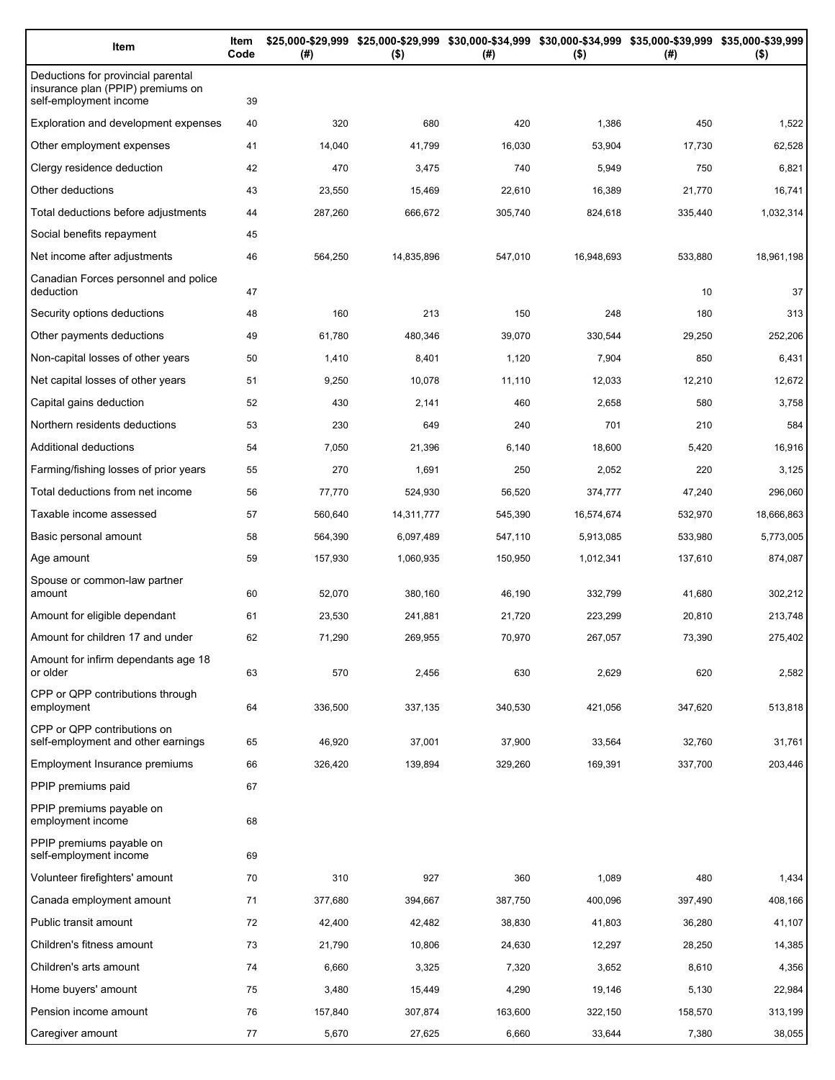| Item                                                                                              | Item<br>Code | (#)     | \$25,000-\$29,999 \$25,000-\$29,999 \$30,000-\$34,999 \$30,000-\$34,999 \$35,000-\$39,999 \$35,000-\$39,999<br>$($ \$) | (#)     | $($ \$)    | (#)     | $($ \$)    |
|---------------------------------------------------------------------------------------------------|--------------|---------|------------------------------------------------------------------------------------------------------------------------|---------|------------|---------|------------|
| Deductions for provincial parental<br>insurance plan (PPIP) premiums on<br>self-employment income | 39           |         |                                                                                                                        |         |            |         |            |
| Exploration and development expenses                                                              | 40           | 320     | 680                                                                                                                    | 420     | 1,386      | 450     | 1,522      |
| Other employment expenses                                                                         | 41           | 14,040  | 41,799                                                                                                                 | 16,030  | 53,904     | 17,730  | 62,528     |
| Clergy residence deduction                                                                        | 42           | 470     | 3,475                                                                                                                  | 740     | 5,949      | 750     | 6,821      |
| Other deductions                                                                                  | 43           | 23,550  | 15,469                                                                                                                 | 22,610  | 16,389     | 21,770  | 16,741     |
| Total deductions before adjustments                                                               | 44           | 287,260 | 666,672                                                                                                                | 305,740 | 824,618    | 335,440 | 1,032,314  |
| Social benefits repayment                                                                         | 45           |         |                                                                                                                        |         |            |         |            |
| Net income after adjustments                                                                      | 46           | 564,250 | 14,835,896                                                                                                             | 547,010 | 16,948,693 | 533,880 | 18,961,198 |
| Canadian Forces personnel and police<br>deduction                                                 | 47           |         |                                                                                                                        |         |            | 10      | 37         |
| Security options deductions                                                                       | 48           | 160     | 213                                                                                                                    | 150     | 248        | 180     | 313        |
| Other payments deductions                                                                         | 49           | 61,780  | 480,346                                                                                                                | 39,070  | 330,544    | 29,250  | 252,206    |
| Non-capital losses of other years                                                                 | 50           | 1,410   | 8,401                                                                                                                  | 1,120   | 7,904      | 850     | 6,431      |
| Net capital losses of other years                                                                 | 51           | 9,250   | 10,078                                                                                                                 | 11,110  | 12,033     | 12,210  | 12,672     |
| Capital gains deduction                                                                           | 52           | 430     | 2,141                                                                                                                  | 460     | 2,658      | 580     | 3,758      |
| Northern residents deductions                                                                     | 53           | 230     | 649                                                                                                                    | 240     | 701        | 210     | 584        |
| Additional deductions                                                                             | 54           | 7,050   | 21,396                                                                                                                 | 6,140   | 18,600     | 5,420   | 16,916     |
| Farming/fishing losses of prior years                                                             | 55           | 270     | 1,691                                                                                                                  | 250     | 2,052      | 220     | 3,125      |
| Total deductions from net income                                                                  | 56           | 77,770  | 524,930                                                                                                                | 56,520  | 374,777    | 47,240  | 296,060    |
| Taxable income assessed                                                                           | 57           | 560,640 | 14,311,777                                                                                                             | 545,390 | 16,574,674 | 532,970 | 18,666,863 |
| Basic personal amount                                                                             | 58           | 564,390 | 6,097,489                                                                                                              | 547,110 | 5,913,085  | 533,980 | 5,773,005  |
| Age amount                                                                                        | 59           | 157,930 | 1,060,935                                                                                                              | 150,950 | 1,012,341  | 137,610 | 874,087    |
| Spouse or common-law partner<br>amount                                                            | 60           | 52,070  | 380,160                                                                                                                | 46,190  | 332,799    | 41,680  | 302,212    |
| Amount for eligible dependant                                                                     | 61           | 23,530  | 241,881                                                                                                                | 21,720  | 223,299    | 20,810  | 213,748    |
| Amount for children 17 and under                                                                  | 62           | 71,290  | 269,955                                                                                                                | 70,970  | 267,057    | 73,390  | 275,402    |
| Amount for infirm dependants age 18<br>or older                                                   | 63           | 570     | 2,456                                                                                                                  | 630     | 2,629      | 620     | 2,582      |
| CPP or QPP contributions through<br>employment                                                    | 64           | 336,500 | 337,135                                                                                                                | 340,530 | 421,056    | 347,620 | 513,818    |
| CPP or QPP contributions on<br>self-employment and other earnings                                 | 65           | 46,920  | 37,001                                                                                                                 | 37,900  | 33,564     | 32,760  | 31,761     |
| Employment Insurance premiums                                                                     | 66           | 326,420 | 139,894                                                                                                                | 329,260 | 169,391    | 337,700 | 203,446    |
| PPIP premiums paid                                                                                | 67           |         |                                                                                                                        |         |            |         |            |
| PPIP premiums payable on<br>employment income                                                     | 68           |         |                                                                                                                        |         |            |         |            |
| PPIP premiums payable on<br>self-employment income                                                | 69           |         |                                                                                                                        |         |            |         |            |
| Volunteer firefighters' amount                                                                    | 70           | 310     | 927                                                                                                                    | 360     | 1,089      | 480     | 1,434      |
| Canada employment amount                                                                          | 71           | 377,680 | 394,667                                                                                                                | 387,750 | 400,096    | 397,490 | 408,166    |
| Public transit amount                                                                             | 72           | 42,400  | 42,482                                                                                                                 | 38,830  | 41,803     | 36,280  | 41,107     |
| Children's fitness amount                                                                         | 73           | 21,790  | 10,806                                                                                                                 | 24,630  | 12,297     | 28,250  | 14,385     |
| Children's arts amount                                                                            | 74           | 6,660   | 3,325                                                                                                                  | 7,320   | 3,652      | 8,610   | 4,356      |
| Home buyers' amount                                                                               | 75           | 3,480   | 15,449                                                                                                                 | 4,290   | 19,146     | 5,130   | 22,984     |
| Pension income amount                                                                             | 76           | 157,840 | 307,874                                                                                                                | 163,600 | 322,150    | 158,570 | 313,199    |
| Caregiver amount                                                                                  | 77           | 5,670   | 27,625                                                                                                                 | 6,660   | 33,644     | 7,380   | 38,055     |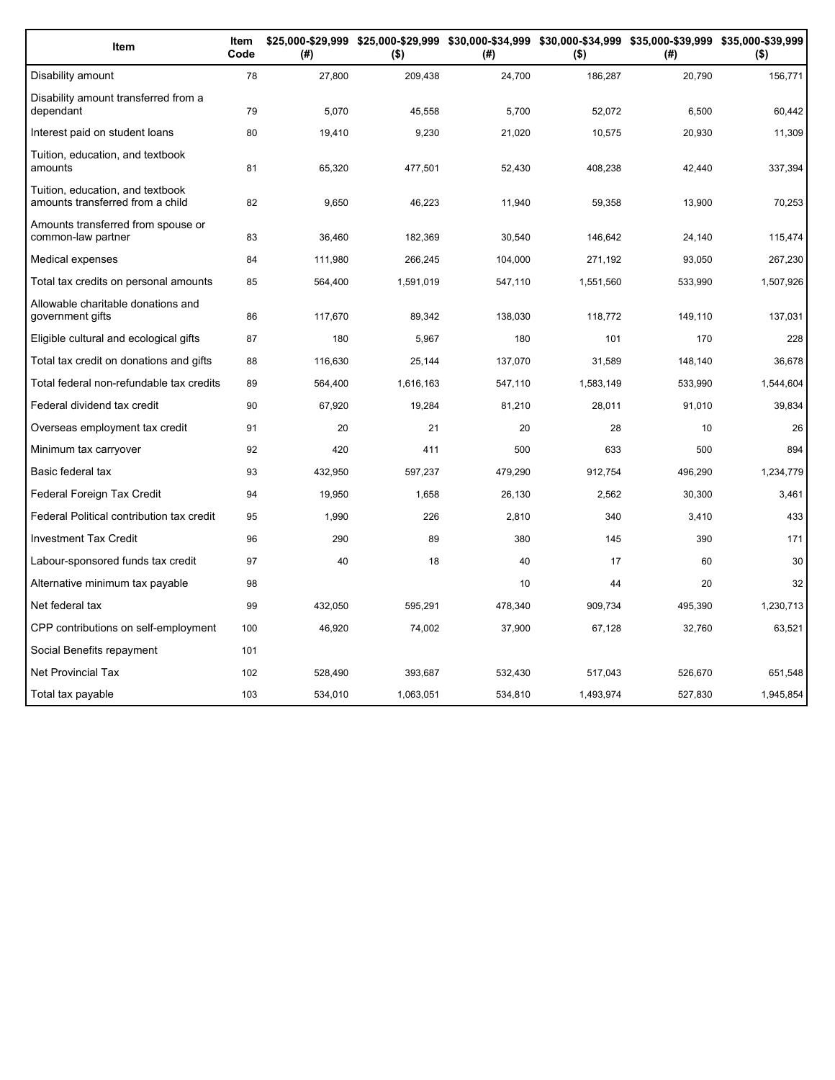| Item                                                                 | Item<br>Code | (#)     | \$25,000-\$29,999 \$25,000-\$29,999 \$30,000-\$34,999 \$30,000-\$34,999 \$35,000-\$39,999 \$35,000-\$39,999<br>$($ \$) | (#)     | $($ \$)   | (# )    | $($ \$)   |
|----------------------------------------------------------------------|--------------|---------|------------------------------------------------------------------------------------------------------------------------|---------|-----------|---------|-----------|
| Disability amount                                                    | 78           | 27,800  | 209,438                                                                                                                | 24,700  | 186,287   | 20,790  | 156,771   |
| Disability amount transferred from a<br>dependant                    | 79           | 5,070   | 45,558                                                                                                                 | 5,700   | 52,072    | 6,500   | 60,442    |
| Interest paid on student loans                                       | 80           | 19,410  | 9,230                                                                                                                  | 21,020  | 10,575    | 20,930  | 11,309    |
| Tuition, education, and textbook<br>amounts                          | 81           | 65,320  | 477,501                                                                                                                | 52,430  | 408,238   | 42,440  | 337,394   |
| Tuition, education, and textbook<br>amounts transferred from a child | 82           | 9,650   | 46,223                                                                                                                 | 11,940  | 59,358    | 13,900  | 70,253    |
| Amounts transferred from spouse or<br>common-law partner             | 83           | 36,460  | 182,369                                                                                                                | 30,540  | 146,642   | 24,140  | 115,474   |
| Medical expenses                                                     | 84           | 111,980 | 266,245                                                                                                                | 104,000 | 271,192   | 93,050  | 267,230   |
| Total tax credits on personal amounts                                | 85           | 564,400 | 1,591,019                                                                                                              | 547,110 | 1,551,560 | 533,990 | 1,507,926 |
| Allowable charitable donations and<br>government gifts               | 86           | 117,670 | 89,342                                                                                                                 | 138,030 | 118,772   | 149,110 | 137,031   |
| Eligible cultural and ecological gifts                               | 87           | 180     | 5,967                                                                                                                  | 180     | 101       | 170     | 228       |
| Total tax credit on donations and gifts                              | 88           | 116,630 | 25,144                                                                                                                 | 137,070 | 31,589    | 148.140 | 36,678    |
| Total federal non-refundable tax credits                             | 89           | 564,400 | 1,616,163                                                                                                              | 547,110 | 1,583,149 | 533,990 | 1,544,604 |
| Federal dividend tax credit                                          | 90           | 67,920  | 19,284                                                                                                                 | 81,210  | 28,011    | 91,010  | 39,834    |
| Overseas employment tax credit                                       | 91           | 20      | 21                                                                                                                     | 20      | 28        | 10      | 26        |
| Minimum tax carryover                                                | 92           | 420     | 411                                                                                                                    | 500     | 633       | 500     | 894       |
| Basic federal tax                                                    | 93           | 432,950 | 597,237                                                                                                                | 479,290 | 912,754   | 496,290 | 1,234,779 |
| Federal Foreign Tax Credit                                           | 94           | 19,950  | 1,658                                                                                                                  | 26,130  | 2,562     | 30,300  | 3,461     |
| Federal Political contribution tax credit                            | 95           | 1,990   | 226                                                                                                                    | 2,810   | 340       | 3,410   | 433       |
| <b>Investment Tax Credit</b>                                         | 96           | 290     | 89                                                                                                                     | 380     | 145       | 390     | 171       |
| Labour-sponsored funds tax credit                                    | 97           | 40      | 18                                                                                                                     | 40      | 17        | 60      | 30        |
| Alternative minimum tax payable                                      | 98           |         |                                                                                                                        | 10      | 44        | 20      | 32        |
| Net federal tax                                                      | 99           | 432,050 | 595,291                                                                                                                | 478,340 | 909,734   | 495,390 | 1,230,713 |
| CPP contributions on self-employment                                 | 100          | 46,920  | 74,002                                                                                                                 | 37,900  | 67,128    | 32,760  | 63,521    |
| Social Benefits repayment                                            | 101          |         |                                                                                                                        |         |           |         |           |
| <b>Net Provincial Tax</b>                                            | 102          | 528,490 | 393,687                                                                                                                | 532,430 | 517,043   | 526,670 | 651,548   |
| Total tax payable                                                    | 103          | 534.010 | 1.063.051                                                                                                              | 534.810 | 1.493.974 | 527.830 | 1,945,854 |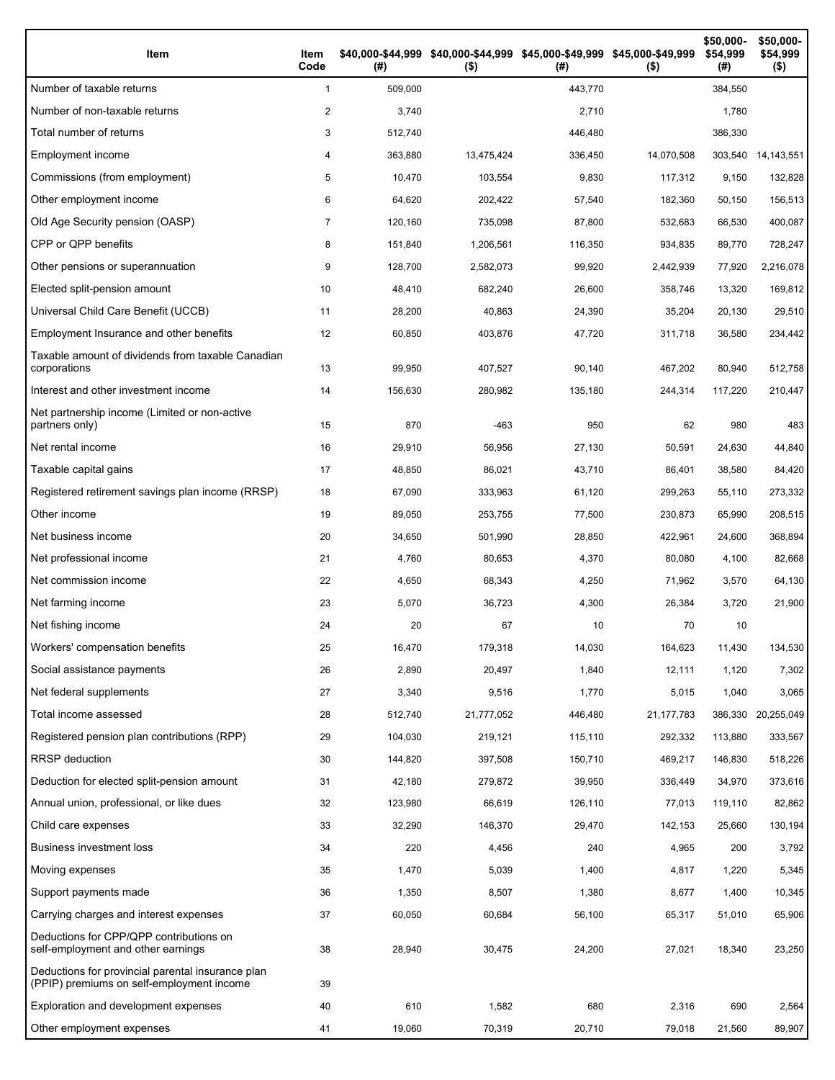| Item                                                                                           | Item<br>Code | (# )    | \$40,000-\$44,999 \$40,000-\$44,999 \$45,000-\$49,999 \$45,000-\$49,999<br>$($ \$) | (# )    | $($ \$)      | \$50,000-<br>\$54,999<br>(#) | \$50,000-<br>\$54,999<br>$($ \$) |
|------------------------------------------------------------------------------------------------|--------------|---------|------------------------------------------------------------------------------------|---------|--------------|------------------------------|----------------------------------|
| Number of taxable returns                                                                      | $\mathbf{1}$ | 509,000 |                                                                                    | 443,770 |              | 384,550                      |                                  |
| Number of non-taxable returns                                                                  | 2            | 3,740   |                                                                                    | 2,710   |              | 1,780                        |                                  |
| Total number of returns                                                                        | 3            | 512,740 |                                                                                    | 446,480 |              | 386,330                      |                                  |
| Employment income                                                                              | 4            | 363,880 | 13,475,424                                                                         | 336,450 | 14,070,508   | 303,540                      | 14,143,551                       |
| Commissions (from employment)                                                                  | 5            | 10,470  | 103,554                                                                            | 9,830   | 117,312      | 9,150                        | 132,828                          |
| Other employment income                                                                        | 6            | 64,620  | 202,422                                                                            | 57,540  | 182.360      | 50,150                       | 156,513                          |
| Old Age Security pension (OASP)                                                                | 7            | 120,160 | 735,098                                                                            | 87,800  | 532,683      | 66,530                       | 400,087                          |
| CPP or QPP benefits                                                                            | 8            | 151,840 | 1,206,561                                                                          | 116,350 | 934,835      | 89,770                       | 728,247                          |
| Other pensions or superannuation                                                               | 9            | 128,700 | 2,582,073                                                                          | 99,920  | 2,442,939    | 77,920                       | 2,216,078                        |
| Elected split-pension amount                                                                   | 10           | 48,410  | 682,240                                                                            | 26,600  | 358,746      | 13,320                       | 169,812                          |
| Universal Child Care Benefit (UCCB)                                                            | 11           | 28,200  | 40,863                                                                             | 24,390  | 35,204       | 20,130                       | 29,510                           |
| Employment Insurance and other benefits                                                        | 12           | 60,850  | 403,876                                                                            | 47,720  | 311,718      | 36,580                       | 234,442                          |
| Taxable amount of dividends from taxable Canadian<br>corporations                              | 13           | 99,950  | 407,527                                                                            | 90,140  | 467,202      | 80,940                       | 512,758                          |
| Interest and other investment income                                                           | 14           | 156,630 | 280,982                                                                            | 135,180 | 244,314      | 117,220                      | 210,447                          |
| Net partnership income (Limited or non-active<br>partners only)                                | 15           | 870     | $-463$                                                                             | 950     | 62           | 980                          | 483                              |
| Net rental income                                                                              | 16           | 29,910  | 56,956                                                                             | 27,130  | 50,591       | 24,630                       | 44,840                           |
| Taxable capital gains                                                                          | 17           | 48,850  | 86,021                                                                             | 43,710  | 86,401       | 38,580                       | 84,420                           |
| Registered retirement savings plan income (RRSP)                                               | 18           | 67,090  | 333,963                                                                            | 61,120  | 299,263      | 55,110                       | 273,332                          |
| Other income                                                                                   | 19           | 89,050  | 253,755                                                                            | 77,500  | 230,873      | 65,990                       | 208,515                          |
| Net business income                                                                            | 20           | 34,650  | 501,990                                                                            | 28,850  | 422,961      | 24,600                       | 368,894                          |
| Net professional income                                                                        | 21           | 4,760   | 80,653                                                                             | 4,370   | 80,080       | 4,100                        | 82,668                           |
| Net commission income                                                                          | 22           | 4,650   | 68,343                                                                             | 4,250   | 71,962       | 3,570                        | 64,130                           |
| Net farming income                                                                             | 23           | 5,070   | 36,723                                                                             | 4,300   | 26,384       | 3,720                        | 21,900                           |
| Net fishing income                                                                             | 24           | 20      | 67                                                                                 | 10      | 70           | 10                           |                                  |
| Workers' compensation benefits                                                                 | 25           | 16,470  | 179,318                                                                            | 14,030  | 164,623      | 11,430                       | 134,530                          |
| Social assistance payments                                                                     | 26           | 2,890   | 20,497                                                                             | 1,840   | 12,111       | 1,120                        | 7,302                            |
| Net federal supplements                                                                        | 27           | 3,340   | 9,516                                                                              | 1,770   | 5,015        | 1,040                        | 3,065                            |
| Total income assessed                                                                          | 28           | 512,740 | 21,777,052                                                                         | 446,480 | 21, 177, 783 | 386,330                      | 20,255,049                       |
| Registered pension plan contributions (RPP)                                                    | 29           | 104,030 | 219,121                                                                            | 115,110 | 292,332      | 113,880                      | 333,567                          |
| RRSP deduction                                                                                 | 30           | 144,820 | 397,508                                                                            | 150,710 | 469,217      | 146,830                      | 518,226                          |
| Deduction for elected split-pension amount                                                     | 31           | 42,180  | 279,872                                                                            | 39,950  | 336,449      | 34,970                       | 373,616                          |
| Annual union, professional, or like dues                                                       | 32           | 123,980 | 66,619                                                                             | 126,110 | 77,013       | 119,110                      | 82,862                           |
| Child care expenses                                                                            | 33           | 32,290  | 146,370                                                                            | 29,470  | 142,153      | 25,660                       | 130,194                          |
| <b>Business investment loss</b>                                                                | 34           | 220     | 4,456                                                                              | 240     | 4,965        | 200                          | 3,792                            |
| Moving expenses                                                                                | 35           | 1,470   | 5,039                                                                              | 1,400   | 4,817        | 1,220                        | 5,345                            |
| Support payments made                                                                          | 36           | 1,350   | 8,507                                                                              | 1,380   | 8,677        | 1,400                        | 10,345                           |
| Carrying charges and interest expenses                                                         | 37           | 60,050  | 60,684                                                                             | 56,100  | 65,317       | 51,010                       | 65,906                           |
| Deductions for CPP/QPP contributions on<br>self-employment and other earnings                  | 38           | 28,940  | 30,475                                                                             | 24,200  | 27,021       | 18,340                       | 23,250                           |
| Deductions for provincial parental insurance plan<br>(PPIP) premiums on self-employment income | 39           |         |                                                                                    |         |              |                              |                                  |
| Exploration and development expenses                                                           | 40           | 610     | 1,582                                                                              | 680     | 2,316        | 690                          | 2,564                            |
| Other employment expenses                                                                      | 41           | 19,060  | 70,319                                                                             | 20,710  | 79,018       | 21,560                       | 89,907                           |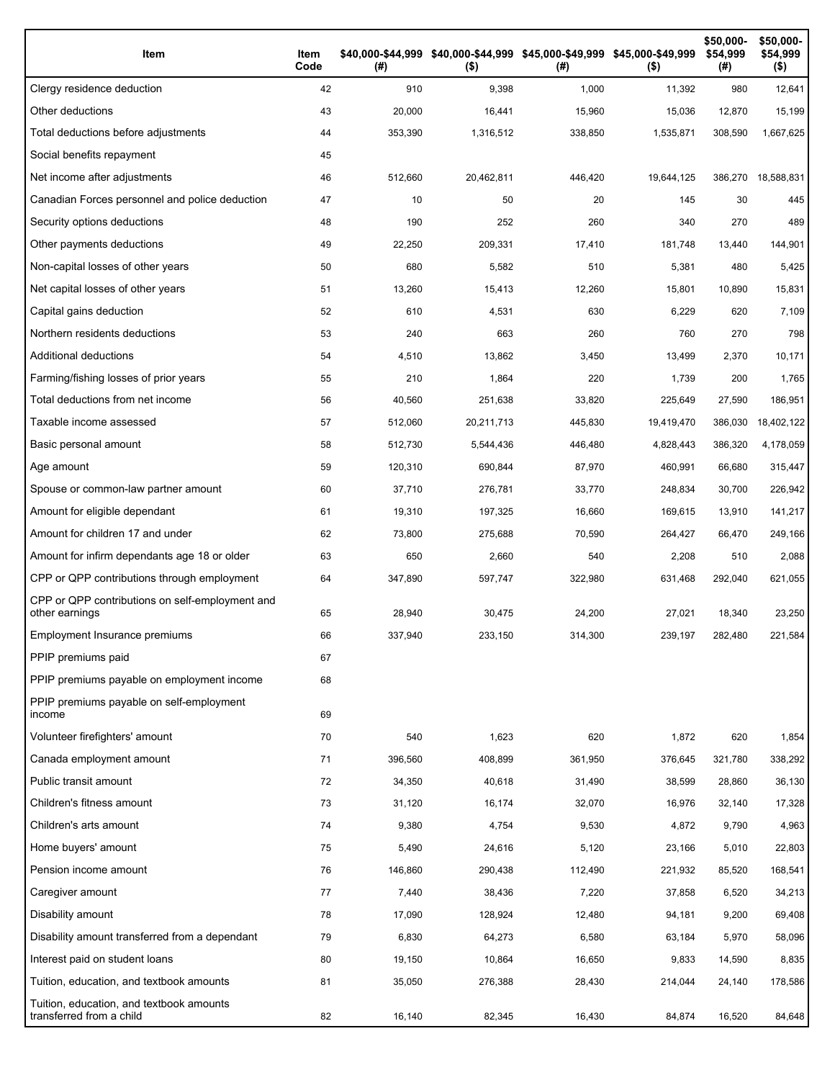| Item                                                                 | Item<br>Code | (# )    | \$40,000-\$44,999 \$40,000-\$44,999 \$45,000-\$49,999 \$45,000-\$49,999<br>$($ \$) | (# )    | $($ \$)    | \$50,000-<br>\$54,999<br>(# ) | \$50,000-<br>\$54,999<br>$($ \$) |
|----------------------------------------------------------------------|--------------|---------|------------------------------------------------------------------------------------|---------|------------|-------------------------------|----------------------------------|
| Clergy residence deduction                                           | 42           | 910     | 9,398                                                                              | 1,000   | 11,392     | 980                           | 12,641                           |
| Other deductions                                                     | 43           | 20,000  | 16,441                                                                             | 15,960  | 15,036     | 12,870                        | 15,199                           |
| Total deductions before adjustments                                  | 44           | 353,390 | 1,316,512                                                                          | 338,850 | 1,535,871  | 308,590                       | 1,667,625                        |
| Social benefits repayment                                            | 45           |         |                                                                                    |         |            |                               |                                  |
| Net income after adjustments                                         | 46           | 512,660 | 20,462,811                                                                         | 446,420 | 19,644,125 | 386,270                       | 18,588,831                       |
| Canadian Forces personnel and police deduction                       | 47           | 10      | 50                                                                                 | 20      | 145        | 30                            | 445                              |
| Security options deductions                                          | 48           | 190     | 252                                                                                | 260     | 340        | 270                           | 489                              |
| Other payments deductions                                            | 49           | 22,250  | 209,331                                                                            | 17,410  | 181,748    | 13,440                        | 144,901                          |
| Non-capital losses of other years                                    | 50           | 680     | 5,582                                                                              | 510     | 5,381      | 480                           | 5,425                            |
| Net capital losses of other years                                    | 51           | 13,260  | 15,413                                                                             | 12,260  | 15,801     | 10,890                        | 15,831                           |
| Capital gains deduction                                              | 52           | 610     | 4,531                                                                              | 630     | 6,229      | 620                           | 7,109                            |
| Northern residents deductions                                        | 53           | 240     | 663                                                                                | 260     | 760        | 270                           | 798                              |
| <b>Additional deductions</b>                                         | 54           | 4,510   | 13,862                                                                             | 3,450   | 13,499     | 2,370                         | 10,171                           |
| Farming/fishing losses of prior years                                | 55           | 210     | 1,864                                                                              | 220     | 1,739      | 200                           | 1,765                            |
| Total deductions from net income                                     | 56           | 40,560  | 251,638                                                                            | 33,820  | 225,649    | 27,590                        | 186,951                          |
| Taxable income assessed                                              | 57           | 512.060 | 20,211,713                                                                         | 445,830 | 19,419,470 | 386,030                       | 18,402,122                       |
| Basic personal amount                                                | 58           | 512,730 | 5,544,436                                                                          | 446,480 | 4,828,443  | 386,320                       | 4,178,059                        |
| Age amount                                                           | 59           | 120,310 | 690,844                                                                            | 87,970  | 460,991    | 66,680                        | 315,447                          |
| Spouse or common-law partner amount                                  | 60           | 37,710  | 276,781                                                                            | 33,770  | 248,834    | 30,700                        | 226,942                          |
| Amount for eligible dependant                                        | 61           | 19,310  | 197,325                                                                            | 16,660  | 169,615    | 13,910                        | 141,217                          |
| Amount for children 17 and under                                     | 62           | 73,800  | 275,688                                                                            | 70,590  | 264,427    | 66,470                        | 249,166                          |
| Amount for infirm dependants age 18 or older                         | 63           | 650     | 2,660                                                                              | 540     | 2,208      | 510                           | 2,088                            |
| CPP or QPP contributions through employment                          | 64           | 347,890 | 597,747                                                                            | 322,980 | 631,468    | 292,040                       | 621,055                          |
| CPP or QPP contributions on self-employment and<br>other earnings    | 65           | 28,940  | 30,475                                                                             | 24,200  | 27,021     | 18,340                        | 23,250                           |
| Employment Insurance premiums                                        | 66           | 337.940 | 233,150                                                                            | 314,300 | 239,197    | 282.480                       | 221.584                          |
| PPIP premiums paid                                                   | 67           |         |                                                                                    |         |            |                               |                                  |
| PPIP premiums payable on employment income                           | 68           |         |                                                                                    |         |            |                               |                                  |
| PPIP premiums payable on self-employment<br>income                   | 69           |         |                                                                                    |         |            |                               |                                  |
| Volunteer firefighters' amount                                       | 70           | 540     | 1,623                                                                              | 620     | 1,872      | 620                           | 1,854                            |
| Canada employment amount                                             | 71           | 396,560 | 408,899                                                                            | 361,950 | 376,645    | 321,780                       | 338,292                          |
| Public transit amount                                                | 72           | 34,350  | 40,618                                                                             | 31,490  | 38,599     | 28,860                        | 36,130                           |
| Children's fitness amount                                            | 73           | 31,120  | 16,174                                                                             | 32,070  | 16,976     | 32,140                        | 17,328                           |
| Children's arts amount                                               | 74           | 9,380   | 4,754                                                                              | 9,530   | 4,872      | 9,790                         | 4,963                            |
| Home buyers' amount                                                  | 75           | 5,490   | 24,616                                                                             | 5,120   | 23,166     | 5,010                         | 22,803                           |
| Pension income amount                                                | 76           | 146,860 | 290,438                                                                            | 112,490 | 221,932    | 85,520                        | 168,541                          |
| Caregiver amount                                                     | 77           | 7,440   | 38,436                                                                             | 7,220   | 37,858     | 6,520                         | 34,213                           |
| Disability amount                                                    | 78           | 17,090  | 128,924                                                                            | 12,480  | 94,181     | 9,200                         | 69,408                           |
| Disability amount transferred from a dependant                       | 79           | 6,830   | 64,273                                                                             | 6,580   | 63,184     | 5,970                         | 58,096                           |
| Interest paid on student loans                                       | 80           | 19,150  | 10,864                                                                             | 16,650  | 9,833      | 14,590                        | 8,835                            |
| Tuition, education, and textbook amounts                             | 81           | 35,050  | 276,388                                                                            | 28,430  | 214,044    | 24,140                        | 178,586                          |
| Tuition, education, and textbook amounts<br>transferred from a child | 82           | 16,140  | 82,345                                                                             | 16,430  | 84,874     | 16,520                        | 84,648                           |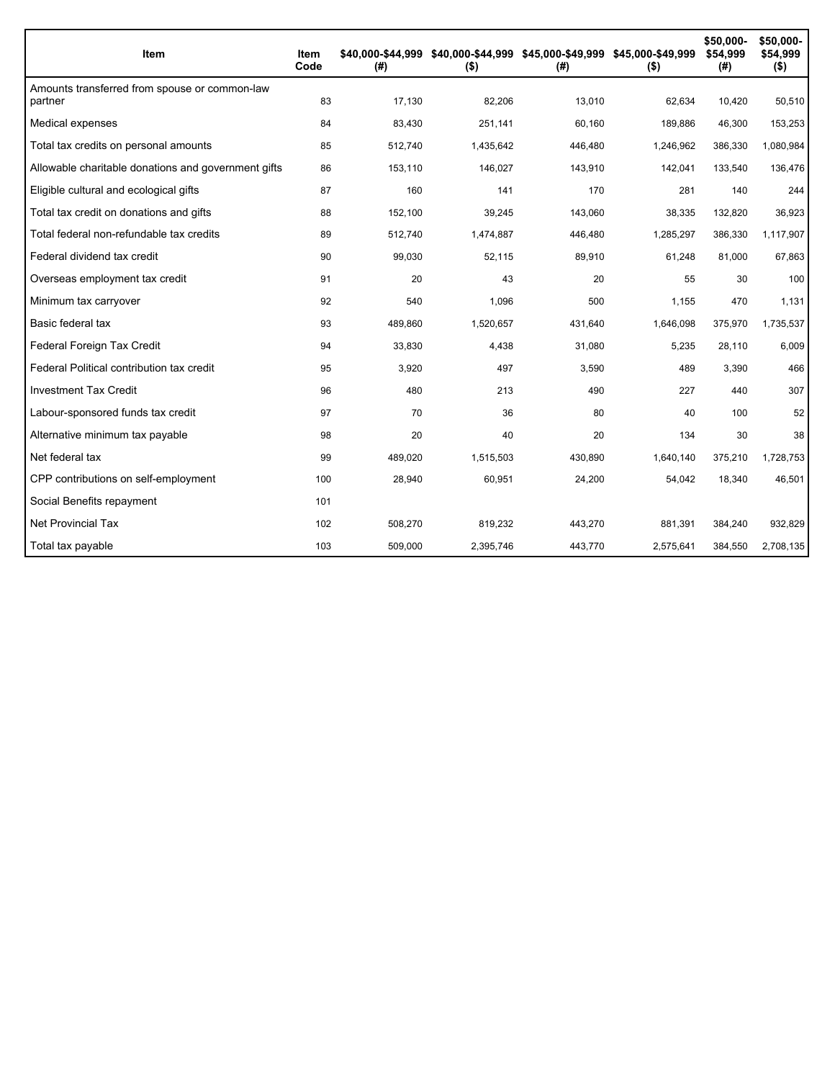| Item                                                     | Item<br>Code | (# )    | \$40,000-\$44,999 \$40,000-\$44,999 \$45,000-\$49,999 \$45,000-\$49,999<br>$($ \$) | (#)     | $($ \$)   | \$50,000-<br>\$54,999<br>(#) | \$50,000-<br>\$54,999<br>$($ \$) |
|----------------------------------------------------------|--------------|---------|------------------------------------------------------------------------------------|---------|-----------|------------------------------|----------------------------------|
| Amounts transferred from spouse or common-law<br>partner | 83           | 17,130  | 82,206                                                                             | 13,010  | 62,634    | 10,420                       | 50,510                           |
| Medical expenses                                         | 84           | 83,430  | 251,141                                                                            | 60,160  | 189,886   | 46,300                       | 153,253                          |
| Total tax credits on personal amounts                    | 85           | 512,740 | 1,435,642                                                                          | 446,480 | 1,246,962 | 386,330                      | 1,080,984                        |
| Allowable charitable donations and government gifts      | 86           | 153,110 | 146,027                                                                            | 143,910 | 142,041   | 133,540                      | 136,476                          |
| Eligible cultural and ecological gifts                   | 87           | 160     | 141                                                                                | 170     | 281       | 140                          | 244                              |
| Total tax credit on donations and gifts                  | 88           | 152,100 | 39,245                                                                             | 143,060 | 38,335    | 132,820                      | 36,923                           |
| Total federal non-refundable tax credits                 | 89           | 512,740 | 1,474,887                                                                          | 446,480 | 1,285,297 | 386,330                      | 1,117,907                        |
| Federal dividend tax credit                              | 90           | 99,030  | 52,115                                                                             | 89,910  | 61,248    | 81,000                       | 67,863                           |
| Overseas employment tax credit                           | 91           | 20      | 43                                                                                 | 20      | 55        | 30                           | 100                              |
| Minimum tax carryover                                    | 92           | 540     | 1,096                                                                              | 500     | 1,155     | 470                          | 1,131                            |
| Basic federal tax                                        | 93           | 489,860 | 1,520,657                                                                          | 431,640 | 1,646,098 | 375,970                      | 1,735,537                        |
| Federal Foreign Tax Credit                               | 94           | 33,830  | 4,438                                                                              | 31,080  | 5,235     | 28,110                       | 6,009                            |
| Federal Political contribution tax credit                | 95           | 3,920   | 497                                                                                | 3,590   | 489       | 3,390                        | 466                              |
| <b>Investment Tax Credit</b>                             | 96           | 480     | 213                                                                                | 490     | 227       | 440                          | 307                              |
| Labour-sponsored funds tax credit                        | 97           | 70      | 36                                                                                 | 80      | 40        | 100                          | 52                               |
| Alternative minimum tax payable                          | 98           | 20      | 40                                                                                 | 20      | 134       | 30                           | 38                               |
| Net federal tax                                          | 99           | 489,020 | 1,515,503                                                                          | 430,890 | 1,640,140 | 375,210                      | 1,728,753                        |
| CPP contributions on self-employment                     | 100          | 28,940  | 60,951                                                                             | 24,200  | 54,042    | 18,340                       | 46,501                           |
| Social Benefits repayment                                | 101          |         |                                                                                    |         |           |                              |                                  |
| Net Provincial Tax                                       | 102          | 508,270 | 819,232                                                                            | 443,270 | 881.391   | 384,240                      | 932,829                          |
| Total tax payable                                        | 103          | 509,000 | 2,395,746                                                                          | 443,770 | 2,575,641 | 384,550                      | 2,708,135                        |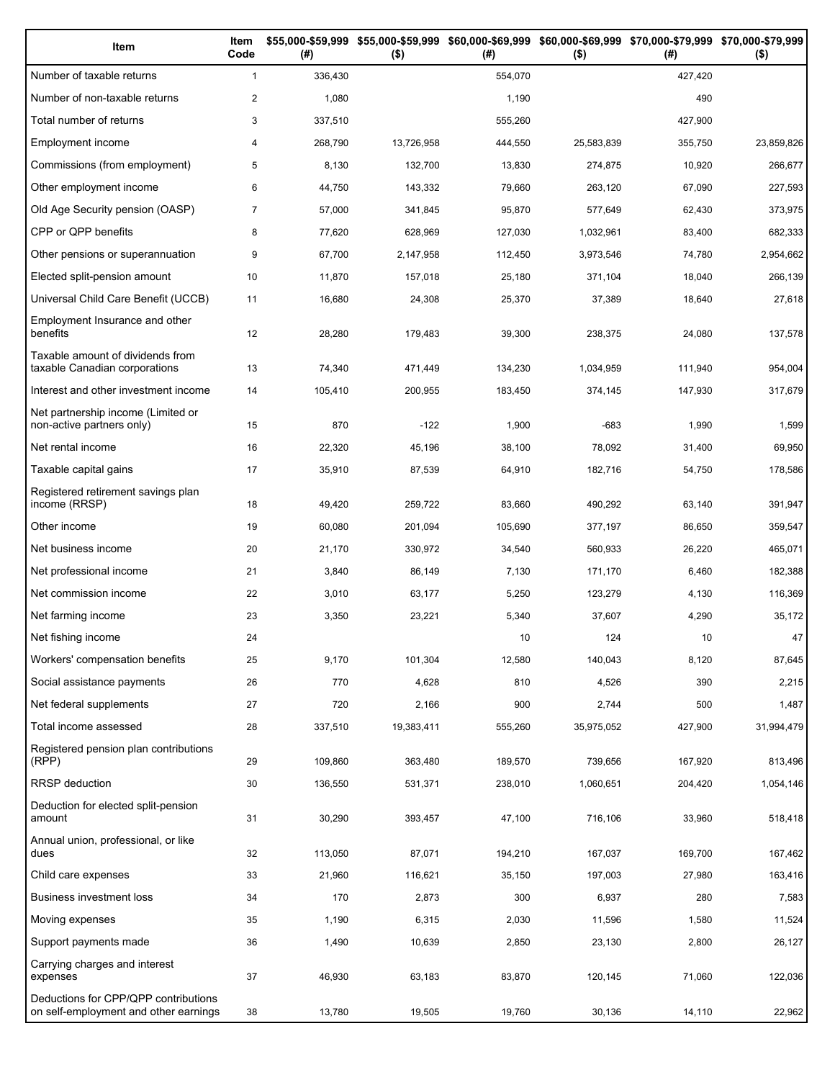| Item                                                                          | Item<br>Code   | (# )    | \$55,000-\$59,999 \$55,000-\$59,999 \$60,000-\$69,999 \$60,000-\$69,999 \$70,000-\$79,999 \$70,000-\$79,999<br>$($ \$) | (#)     | $($ \$)    | (# )    | $($ \$)    |
|-------------------------------------------------------------------------------|----------------|---------|------------------------------------------------------------------------------------------------------------------------|---------|------------|---------|------------|
| Number of taxable returns                                                     | $\mathbf{1}$   | 336,430 |                                                                                                                        | 554,070 |            | 427,420 |            |
| Number of non-taxable returns                                                 | $\overline{2}$ | 1,080   |                                                                                                                        | 1,190   |            | 490     |            |
| Total number of returns                                                       | 3              | 337,510 |                                                                                                                        | 555,260 |            | 427,900 |            |
| Employment income                                                             | 4              | 268,790 | 13,726,958                                                                                                             | 444,550 | 25,583,839 | 355,750 | 23,859,826 |
| Commissions (from employment)                                                 | 5              | 8,130   | 132,700                                                                                                                | 13,830  | 274,875    | 10,920  | 266,677    |
| Other employment income                                                       | 6              | 44,750  | 143,332                                                                                                                | 79,660  | 263,120    | 67,090  | 227,593    |
| Old Age Security pension (OASP)                                               | $\overline{7}$ | 57,000  | 341,845                                                                                                                | 95,870  | 577,649    | 62,430  | 373,975    |
| CPP or QPP benefits                                                           | 8              | 77,620  | 628,969                                                                                                                | 127,030 | 1,032,961  | 83,400  | 682,333    |
| Other pensions or superannuation                                              | 9              | 67,700  | 2,147,958                                                                                                              | 112,450 | 3,973,546  | 74,780  | 2,954,662  |
| Elected split-pension amount                                                  | 10             | 11,870  | 157,018                                                                                                                | 25,180  | 371,104    | 18,040  | 266,139    |
| Universal Child Care Benefit (UCCB)                                           | 11             | 16,680  | 24,308                                                                                                                 | 25,370  | 37,389     | 18,640  | 27,618     |
| Employment Insurance and other<br>benefits                                    | 12             | 28,280  | 179,483                                                                                                                | 39,300  | 238,375    | 24,080  | 137,578    |
| Taxable amount of dividends from<br>taxable Canadian corporations             | 13             | 74,340  | 471,449                                                                                                                | 134,230 | 1,034,959  | 111,940 | 954,004    |
| Interest and other investment income                                          | 14             | 105,410 | 200,955                                                                                                                | 183,450 | 374,145    | 147,930 | 317,679    |
| Net partnership income (Limited or<br>non-active partners only)               | 15             | 870     | $-122$                                                                                                                 | 1,900   | $-683$     | 1,990   | 1,599      |
| Net rental income                                                             | 16             | 22,320  | 45,196                                                                                                                 | 38,100  | 78,092     | 31,400  | 69,950     |
| Taxable capital gains                                                         | 17             | 35,910  | 87,539                                                                                                                 | 64,910  | 182,716    | 54,750  | 178,586    |
| Registered retirement savings plan<br>income (RRSP)                           | 18             | 49,420  | 259,722                                                                                                                | 83,660  | 490,292    | 63,140  | 391,947    |
| Other income                                                                  | 19             | 60,080  | 201,094                                                                                                                | 105,690 | 377,197    | 86,650  | 359,547    |
| Net business income                                                           | 20             | 21,170  | 330,972                                                                                                                | 34,540  | 560,933    | 26,220  | 465,071    |
| Net professional income                                                       | 21             | 3,840   | 86,149                                                                                                                 | 7,130   | 171,170    | 6,460   | 182,388    |
| Net commission income                                                         | 22             | 3,010   | 63,177                                                                                                                 | 5,250   | 123,279    | 4,130   | 116,369    |
| Net farming income                                                            | 23             | 3,350   | 23,221                                                                                                                 | 5,340   | 37,607     | 4,290   | 35,172     |
| Net fishing income                                                            | 24             |         |                                                                                                                        | 10      | 124        | 10      | 47         |
| Workers' compensation benefits                                                | 25             | 9,170   | 101,304                                                                                                                | 12,580  | 140,043    | 8,120   | 87,645     |
| Social assistance payments                                                    | 26             | 770     | 4,628                                                                                                                  | 810     | 4,526      | 390     | 2,215      |
| Net federal supplements                                                       | 27             | 720     | 2,166                                                                                                                  | 900     | 2,744      | 500     | 1,487      |
| Total income assessed                                                         | 28             | 337,510 | 19,383,411                                                                                                             | 555,260 | 35,975,052 | 427,900 | 31,994,479 |
| Registered pension plan contributions<br>(RPP)                                | 29             | 109,860 | 363,480                                                                                                                | 189,570 | 739,656    | 167,920 | 813,496    |
| RRSP deduction                                                                | 30             | 136,550 | 531,371                                                                                                                | 238,010 | 1,060,651  | 204,420 | 1,054,146  |
| Deduction for elected split-pension<br>amount                                 | 31             | 30,290  | 393,457                                                                                                                | 47,100  | 716,106    | 33,960  | 518,418    |
| Annual union, professional, or like<br>dues                                   | 32             | 113,050 | 87,071                                                                                                                 | 194,210 | 167,037    | 169,700 | 167,462    |
| Child care expenses                                                           | 33             | 21,960  | 116,621                                                                                                                | 35,150  | 197,003    | 27,980  | 163,416    |
| Business investment loss                                                      | 34             | 170     | 2,873                                                                                                                  | 300     | 6,937      | 280     | 7,583      |
| Moving expenses                                                               | 35             | 1,190   | 6,315                                                                                                                  | 2,030   | 11,596     | 1,580   | 11,524     |
| Support payments made                                                         | 36             | 1,490   | 10,639                                                                                                                 | 2,850   | 23,130     | 2,800   | 26,127     |
| Carrying charges and interest<br>expenses                                     | 37             | 46,930  | 63,183                                                                                                                 | 83,870  | 120,145    | 71,060  | 122,036    |
| Deductions for CPP/QPP contributions<br>on self-employment and other earnings | 38             | 13,780  | 19,505                                                                                                                 | 19,760  | 30,136     | 14,110  | 22,962     |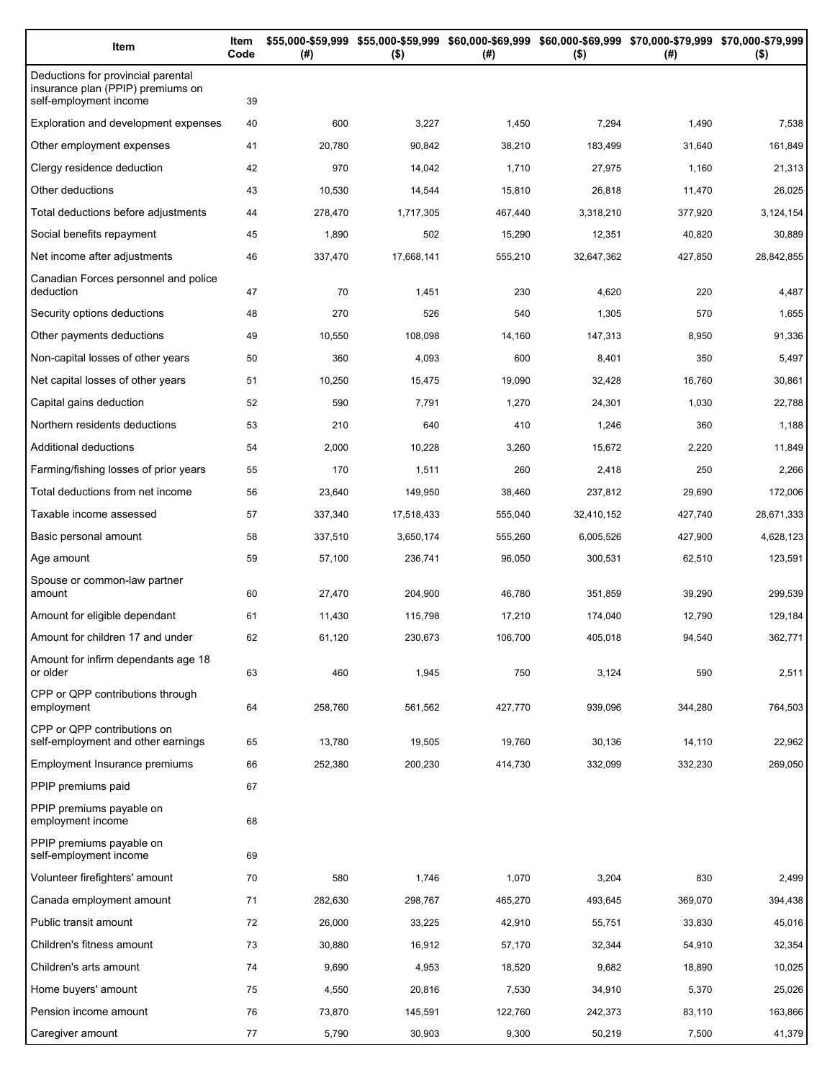| Item                                                                                              | Item<br>Code | (#)     | $($ \$)    | \$55,000-\$59,999 \$55,000-\$59,999 \$60,000-\$69,999 \$60,000-\$69,999 \$70,000-\$79,999 \$70,000-\$79,999<br>(#) | $($ \$)    | (# )    | $($ \$)    |
|---------------------------------------------------------------------------------------------------|--------------|---------|------------|--------------------------------------------------------------------------------------------------------------------|------------|---------|------------|
| Deductions for provincial parental<br>insurance plan (PPIP) premiums on<br>self-employment income | 39           |         |            |                                                                                                                    |            |         |            |
| Exploration and development expenses                                                              | 40           | 600     | 3,227      | 1,450                                                                                                              | 7,294      | 1,490   | 7,538      |
| Other employment expenses                                                                         | 41           | 20,780  | 90,842     | 38,210                                                                                                             | 183,499    | 31,640  | 161,849    |
| Clergy residence deduction                                                                        | 42           | 970     | 14,042     | 1,710                                                                                                              | 27,975     | 1,160   | 21,313     |
| Other deductions                                                                                  | 43           | 10,530  | 14,544     | 15,810                                                                                                             | 26,818     | 11,470  | 26,025     |
| Total deductions before adjustments                                                               | 44           | 278,470 | 1,717,305  | 467,440                                                                                                            | 3,318,210  | 377,920 | 3,124,154  |
| Social benefits repayment                                                                         | 45           | 1,890   | 502        | 15,290                                                                                                             | 12,351     | 40,820  | 30,889     |
| Net income after adjustments                                                                      | 46           | 337,470 | 17,668,141 | 555,210                                                                                                            | 32,647,362 | 427,850 | 28,842,855 |
| Canadian Forces personnel and police<br>deduction                                                 | 47           | 70      | 1,451      | 230                                                                                                                | 4,620      | 220     | 4,487      |
| Security options deductions                                                                       | 48           | 270     | 526        | 540                                                                                                                | 1,305      | 570     | 1,655      |
| Other payments deductions                                                                         | 49           | 10,550  | 108,098    | 14,160                                                                                                             | 147,313    | 8,950   | 91,336     |
| Non-capital losses of other years                                                                 | 50           | 360     | 4,093      | 600                                                                                                                | 8,401      | 350     | 5,497      |
| Net capital losses of other years                                                                 | 51           | 10,250  | 15,475     | 19,090                                                                                                             | 32,428     | 16,760  | 30,861     |
| Capital gains deduction                                                                           | 52           | 590     | 7,791      | 1,270                                                                                                              | 24,301     | 1,030   | 22,788     |
| Northern residents deductions                                                                     | 53           | 210     | 640        | 410                                                                                                                | 1,246      | 360     | 1,188      |
| Additional deductions                                                                             | 54           | 2,000   | 10,228     | 3,260                                                                                                              | 15,672     | 2,220   | 11,849     |
| Farming/fishing losses of prior years                                                             | 55           | 170     | 1,511      | 260                                                                                                                | 2,418      | 250     | 2,266      |
| Total deductions from net income                                                                  | 56           | 23,640  | 149,950    | 38,460                                                                                                             | 237,812    | 29,690  | 172,006    |
| Taxable income assessed                                                                           | 57           | 337,340 | 17,518,433 | 555,040                                                                                                            | 32,410,152 | 427,740 | 28,671,333 |
| Basic personal amount                                                                             | 58           | 337,510 | 3,650,174  | 555,260                                                                                                            | 6,005,526  | 427,900 | 4,628,123  |
| Age amount                                                                                        | 59           | 57,100  | 236,741    | 96,050                                                                                                             | 300,531    | 62,510  | 123,591    |
| Spouse or common-law partner<br>amount                                                            | 60           | 27,470  | 204,900    | 46,780                                                                                                             | 351,859    | 39,290  | 299,539    |
| Amount for eligible dependant                                                                     | 61           | 11,430  | 115,798    | 17,210                                                                                                             | 174,040    | 12,790  | 129,184    |
| Amount for children 17 and under                                                                  | 62           | 61,120  | 230,673    | 106,700                                                                                                            | 405,018    | 94,540  | 362,771    |
| Amount for infirm dependants age 18<br>or older                                                   | 63           | 460     | 1,945      | 750                                                                                                                | 3,124      | 590     | 2,511      |
| CPP or QPP contributions through<br>employment                                                    | 64           | 258,760 | 561,562    | 427,770                                                                                                            | 939,096    | 344,280 | 764,503    |
| CPP or QPP contributions on<br>self-employment and other earnings                                 | 65           | 13,780  | 19,505     | 19,760                                                                                                             | 30,136     | 14,110  | 22,962     |
| Employment Insurance premiums                                                                     | 66           | 252,380 | 200,230    | 414,730                                                                                                            | 332,099    | 332,230 | 269,050    |
| PPIP premiums paid                                                                                | 67           |         |            |                                                                                                                    |            |         |            |
| PPIP premiums payable on<br>employment income                                                     | 68           |         |            |                                                                                                                    |            |         |            |
| PPIP premiums payable on<br>self-employment income                                                | 69           |         |            |                                                                                                                    |            |         |            |
| Volunteer firefighters' amount                                                                    | 70           | 580     | 1,746      | 1,070                                                                                                              | 3,204      | 830     | 2,499      |
| Canada employment amount                                                                          | 71           | 282,630 | 298,767    | 465,270                                                                                                            | 493,645    | 369,070 | 394,438    |
| Public transit amount                                                                             | 72           | 26,000  | 33,225     | 42,910                                                                                                             | 55,751     | 33,830  | 45,016     |
| Children's fitness amount                                                                         | 73           | 30,880  | 16,912     | 57,170                                                                                                             | 32,344     | 54,910  | 32,354     |
| Children's arts amount                                                                            | 74           | 9,690   | 4,953      | 18,520                                                                                                             | 9,682      | 18,890  | 10,025     |
| Home buyers' amount                                                                               | 75           | 4,550   | 20,816     | 7,530                                                                                                              | 34,910     | 5,370   | 25,026     |
| Pension income amount                                                                             | 76           | 73,870  | 145,591    | 122,760                                                                                                            | 242,373    | 83,110  | 163,866    |
| Caregiver amount                                                                                  | 77           | 5,790   | 30,903     | 9,300                                                                                                              | 50,219     | 7,500   | 41,379     |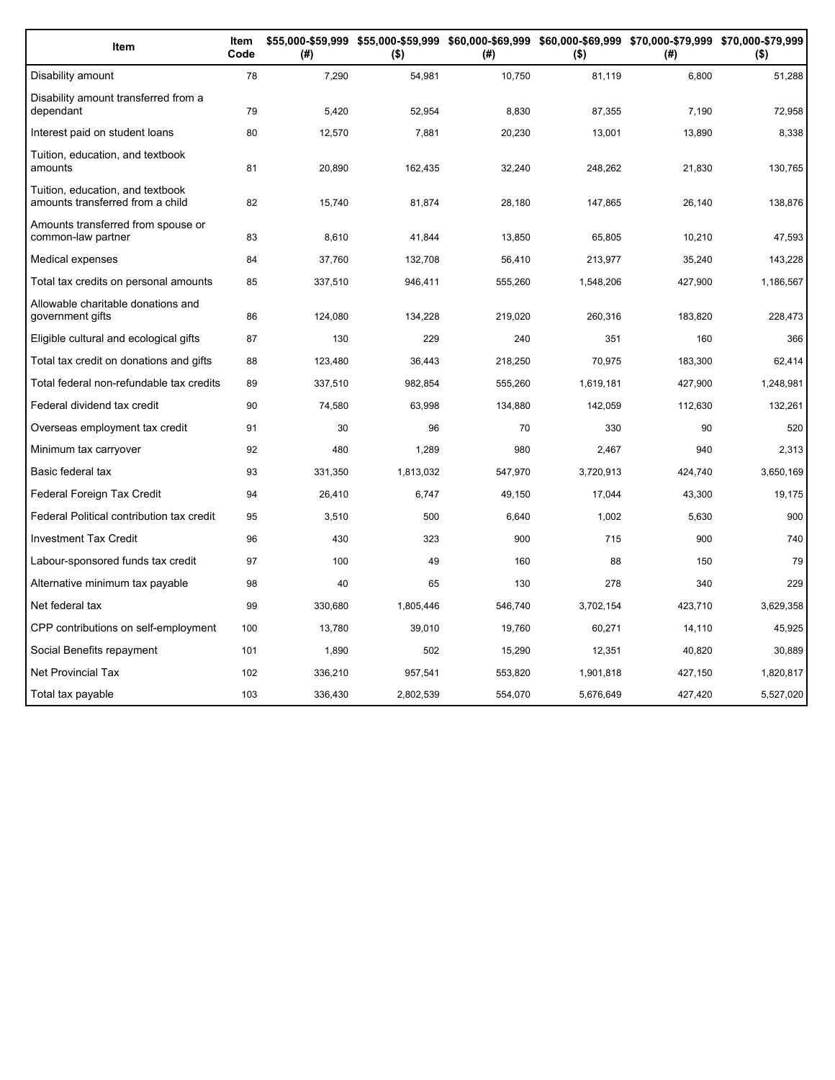| Item                                                                 | Item<br>Code | (#)     | \$55,000-\$59,999 \$55,000-\$59,999 \$60,000-\$69,999 \$60,000-\$69,999 \$70,000-\$79,999 \$70,000-\$79,999<br>$($ \$) | (#)     | $($ \$)   | (# )    | $($ \$)   |
|----------------------------------------------------------------------|--------------|---------|------------------------------------------------------------------------------------------------------------------------|---------|-----------|---------|-----------|
| Disability amount                                                    | 78           | 7,290   | 54,981                                                                                                                 | 10,750  | 81,119    | 6,800   | 51,288    |
| Disability amount transferred from a<br>dependant                    | 79           | 5,420   | 52,954                                                                                                                 | 8,830   | 87,355    | 7,190   | 72,958    |
| Interest paid on student loans                                       | 80           | 12,570  | 7,881                                                                                                                  | 20,230  | 13,001    | 13,890  | 8,338     |
| Tuition, education, and textbook<br>amounts                          | 81           | 20,890  | 162,435                                                                                                                | 32,240  | 248,262   | 21,830  | 130,765   |
| Tuition, education, and textbook<br>amounts transferred from a child | 82           | 15,740  | 81,874                                                                                                                 | 28,180  | 147,865   | 26,140  | 138,876   |
| Amounts transferred from spouse or<br>common-law partner             | 83           | 8,610   | 41,844                                                                                                                 | 13,850  | 65,805    | 10,210  | 47,593    |
| Medical expenses                                                     | 84           | 37,760  | 132,708                                                                                                                | 56,410  | 213,977   | 35,240  | 143,228   |
| Total tax credits on personal amounts                                | 85           | 337,510 | 946,411                                                                                                                | 555,260 | 1,548,206 | 427,900 | 1,186,567 |
| Allowable charitable donations and<br>government gifts               | 86           | 124,080 | 134,228                                                                                                                | 219,020 | 260,316   | 183,820 | 228,473   |
| Eligible cultural and ecological gifts                               | 87           | 130     | 229                                                                                                                    | 240     | 351       | 160     | 366       |
| Total tax credit on donations and gifts                              | 88           | 123,480 | 36,443                                                                                                                 | 218,250 | 70.975    | 183,300 | 62,414    |
| Total federal non-refundable tax credits                             | 89           | 337,510 | 982,854                                                                                                                | 555,260 | 1,619,181 | 427,900 | 1,248,981 |
| Federal dividend tax credit                                          | 90           | 74,580  | 63,998                                                                                                                 | 134,880 | 142,059   | 112,630 | 132,261   |
| Overseas employment tax credit                                       | 91           | 30      | 96                                                                                                                     | 70      | 330       | 90      | 520       |
| Minimum tax carryover                                                | 92           | 480     | 1,289                                                                                                                  | 980     | 2,467     | 940     | 2,313     |
| Basic federal tax                                                    | 93           | 331,350 | 1,813,032                                                                                                              | 547,970 | 3,720,913 | 424,740 | 3,650,169 |
| Federal Foreign Tax Credit                                           | 94           | 26,410  | 6,747                                                                                                                  | 49,150  | 17,044    | 43,300  | 19,175    |
| Federal Political contribution tax credit                            | 95           | 3,510   | 500                                                                                                                    | 6,640   | 1,002     | 5,630   | 900       |
| <b>Investment Tax Credit</b>                                         | 96           | 430     | 323                                                                                                                    | 900     | 715       | 900     | 740       |
| Labour-sponsored funds tax credit                                    | 97           | 100     | 49                                                                                                                     | 160     | 88        | 150     | 79        |
| Alternative minimum tax payable                                      | 98           | 40      | 65                                                                                                                     | 130     | 278       | 340     | 229       |
| Net federal tax                                                      | 99           | 330,680 | 1,805,446                                                                                                              | 546,740 | 3,702,154 | 423,710 | 3,629,358 |
| CPP contributions on self-employment                                 | 100          | 13,780  | 39,010                                                                                                                 | 19,760  | 60,271    | 14,110  | 45,925    |
| Social Benefits repayment                                            | 101          | 1,890   | 502                                                                                                                    | 15,290  | 12,351    | 40,820  | 30,889    |
| <b>Net Provincial Tax</b>                                            | 102          | 336,210 | 957,541                                                                                                                | 553,820 | 1,901,818 | 427,150 | 1,820,817 |
| Total tax payable                                                    | 103          | 336,430 | 2,802,539                                                                                                              | 554,070 | 5,676,649 | 427,420 | 5,527,020 |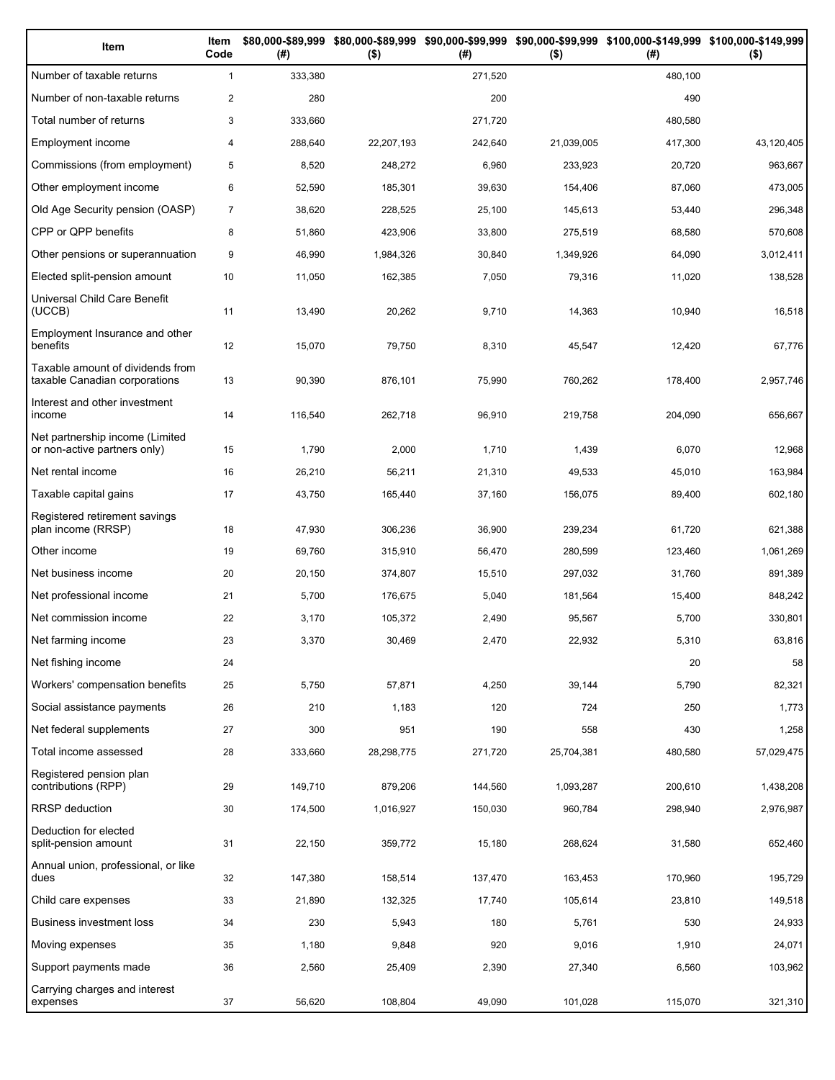| Item                                                              | Item<br>Code   | (# )    | $($ \$)    | (#)     | $($ \$)    | \$80,000-\$89,999 \$80,000-\$89,999 \$90,000-\$99,999 \$90,000-\$99,999 \$100,000-\$149,999 \$100,000-\$149,999<br>(# ) | $($ \$)    |
|-------------------------------------------------------------------|----------------|---------|------------|---------|------------|-------------------------------------------------------------------------------------------------------------------------|------------|
| Number of taxable returns                                         | $\mathbf{1}$   | 333,380 |            | 271,520 |            | 480,100                                                                                                                 |            |
| Number of non-taxable returns                                     | $\overline{2}$ | 280     |            | 200     |            | 490                                                                                                                     |            |
| Total number of returns                                           | 3              | 333,660 |            | 271,720 |            | 480,580                                                                                                                 |            |
| Employment income                                                 | $\overline{4}$ | 288,640 | 22,207,193 | 242,640 | 21,039,005 | 417,300                                                                                                                 | 43,120,405 |
| Commissions (from employment)                                     | 5              | 8,520   | 248,272    | 6,960   | 233,923    | 20,720                                                                                                                  | 963,667    |
| Other employment income                                           | 6              | 52,590  | 185,301    | 39,630  | 154,406    | 87,060                                                                                                                  | 473,005    |
| Old Age Security pension (OASP)                                   | $\overline{7}$ | 38,620  | 228,525    | 25,100  | 145,613    | 53,440                                                                                                                  | 296,348    |
| CPP or QPP benefits                                               | 8              | 51,860  | 423,906    | 33,800  | 275,519    | 68,580                                                                                                                  | 570,608    |
| Other pensions or superannuation                                  | 9              | 46,990  | 1,984,326  | 30,840  | 1,349,926  | 64,090                                                                                                                  | 3,012,411  |
| Elected split-pension amount                                      | 10             | 11,050  | 162,385    | 7,050   | 79,316     | 11,020                                                                                                                  | 138,528    |
| Universal Child Care Benefit<br>(UCCB)                            | 11             | 13,490  | 20,262     | 9,710   | 14,363     | 10,940                                                                                                                  | 16,518     |
| Employment Insurance and other<br>benefits                        | 12             | 15,070  | 79,750     | 8,310   | 45,547     | 12,420                                                                                                                  | 67,776     |
| Taxable amount of dividends from<br>taxable Canadian corporations | 13             | 90,390  | 876,101    | 75,990  | 760,262    | 178,400                                                                                                                 | 2,957,746  |
| Interest and other investment<br>income                           | 14             | 116,540 | 262,718    | 96,910  | 219,758    | 204,090                                                                                                                 | 656,667    |
| Net partnership income (Limited<br>or non-active partners only)   | 15             | 1,790   | 2,000      | 1,710   | 1,439      | 6,070                                                                                                                   | 12,968     |
| Net rental income                                                 | 16             | 26,210  | 56,211     | 21,310  | 49,533     | 45,010                                                                                                                  | 163,984    |
| Taxable capital gains                                             | 17             | 43,750  | 165,440    | 37,160  | 156,075    | 89,400                                                                                                                  | 602,180    |
| Registered retirement savings<br>plan income (RRSP)               | 18             | 47,930  | 306,236    | 36,900  | 239,234    | 61,720                                                                                                                  | 621,388    |
| Other income                                                      | 19             | 69,760  | 315,910    | 56,470  | 280,599    | 123,460                                                                                                                 | 1,061,269  |
| Net business income                                               | 20             | 20,150  | 374,807    | 15,510  | 297,032    | 31,760                                                                                                                  | 891,389    |
| Net professional income                                           | 21             | 5,700   | 176,675    | 5,040   | 181,564    | 15,400                                                                                                                  | 848,242    |
| Net commission income                                             | 22             | 3,170   | 105,372    | 2,490   | 95,567     | 5,700                                                                                                                   | 330,801    |
| Net farming income                                                | 23             | 3,370   | 30,469     | 2,470   | 22,932     | 5,310                                                                                                                   | 63,816     |
| Net fishing income                                                | 24             |         |            |         |            | 20                                                                                                                      | 58         |
| Workers' compensation benefits                                    | 25             | 5,750   | 57,871     | 4,250   | 39,144     | 5,790                                                                                                                   | 82,321     |
| Social assistance payments                                        | 26             | 210     | 1,183      | 120     | 724        | 250                                                                                                                     | 1,773      |
| Net federal supplements                                           | 27             | 300     | 951        | 190     | 558        | 430                                                                                                                     | 1,258      |
| Total income assessed                                             | 28             | 333,660 | 28,298,775 | 271,720 | 25,704,381 | 480,580                                                                                                                 | 57,029,475 |
| Registered pension plan<br>contributions (RPP)                    | 29             | 149,710 | 879,206    | 144,560 | 1,093,287  | 200,610                                                                                                                 | 1,438,208  |
| <b>RRSP</b> deduction                                             | 30             | 174,500 | 1,016,927  | 150,030 | 960,784    | 298,940                                                                                                                 | 2,976,987  |
| Deduction for elected<br>split-pension amount                     | 31             | 22,150  | 359,772    | 15,180  | 268,624    | 31,580                                                                                                                  | 652,460    |
| Annual union, professional, or like<br>dues                       | 32             | 147,380 | 158,514    | 137,470 | 163,453    | 170,960                                                                                                                 | 195,729    |
| Child care expenses                                               | 33             | 21,890  | 132,325    | 17,740  | 105,614    | 23,810                                                                                                                  | 149,518    |
| Business investment loss                                          | 34             | 230     | 5,943      | 180     | 5,761      | 530                                                                                                                     | 24,933     |
| Moving expenses                                                   | 35             | 1,180   | 9,848      | 920     | 9,016      | 1,910                                                                                                                   | 24,071     |
| Support payments made                                             | 36             | 2,560   | 25,409     | 2,390   | 27,340     | 6,560                                                                                                                   | 103,962    |
| Carrying charges and interest<br>expenses                         | 37             | 56,620  | 108,804    | 49,090  | 101,028    | 115,070                                                                                                                 | 321,310    |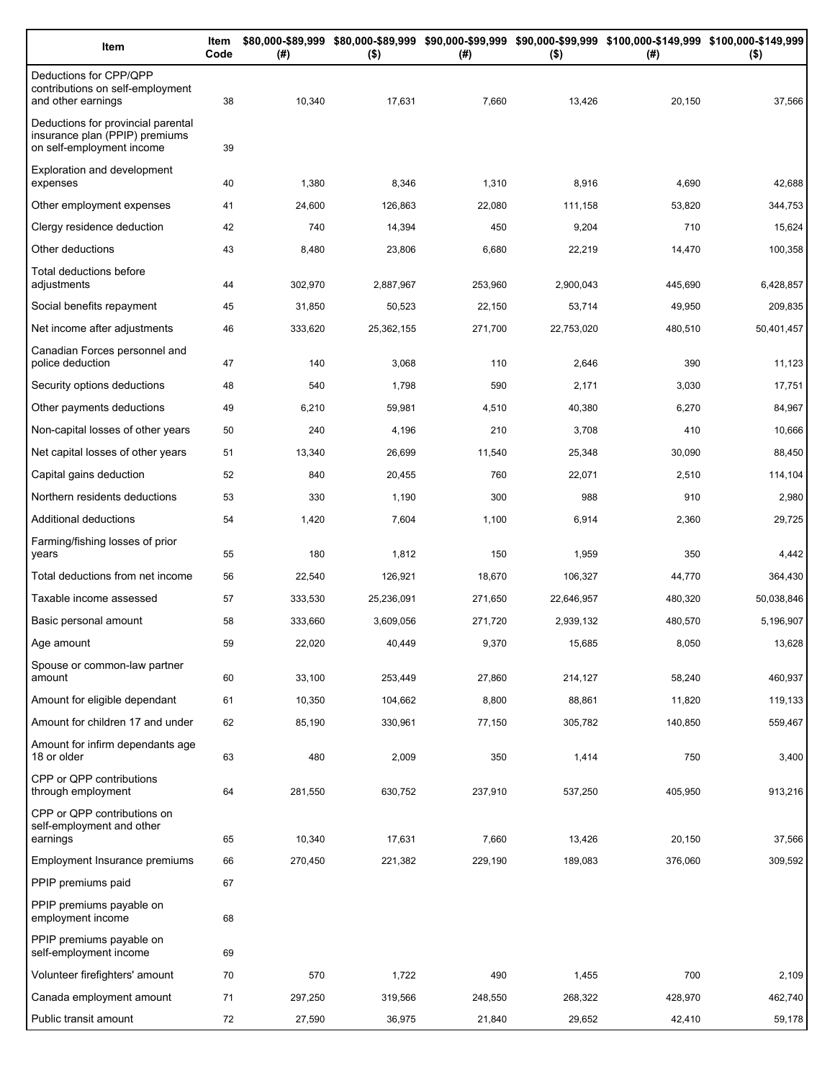| Item                                                                                              | Item<br>Code | (# )    | $($ \$)    | (#)     | $($ \$)    | \$80,000-\$89,999 \$80,000-\$89,999 \$90,000-\$99,999 \$90,000-\$99,999 \$100,000-\$149,999 \$100,000-\$149,999<br>(# ) | $($ \$)    |
|---------------------------------------------------------------------------------------------------|--------------|---------|------------|---------|------------|-------------------------------------------------------------------------------------------------------------------------|------------|
| Deductions for CPP/QPP<br>contributions on self-employment<br>and other earnings                  | 38           | 10,340  | 17,631     | 7,660   | 13,426     | 20,150                                                                                                                  | 37,566     |
| Deductions for provincial parental<br>insurance plan (PPIP) premiums<br>on self-employment income | 39           |         |            |         |            |                                                                                                                         |            |
| <b>Exploration and development</b><br>expenses                                                    | 40           | 1,380   | 8,346      | 1,310   | 8,916      | 4,690                                                                                                                   | 42,688     |
| Other employment expenses                                                                         | 41           | 24,600  | 126,863    | 22,080  | 111,158    | 53,820                                                                                                                  | 344,753    |
| Clergy residence deduction                                                                        | 42           | 740     | 14,394     | 450     | 9,204      | 710                                                                                                                     | 15,624     |
| Other deductions                                                                                  | 43           | 8,480   | 23,806     | 6,680   | 22,219     | 14,470                                                                                                                  | 100,358    |
| Total deductions before<br>adjustments                                                            | 44           | 302,970 | 2,887,967  | 253,960 | 2,900,043  | 445,690                                                                                                                 | 6,428,857  |
| Social benefits repayment                                                                         | 45           | 31,850  | 50,523     | 22,150  | 53,714     | 49,950                                                                                                                  | 209,835    |
| Net income after adjustments                                                                      | 46           | 333,620 | 25,362,155 | 271,700 | 22,753,020 | 480,510                                                                                                                 | 50,401,457 |
| Canadian Forces personnel and<br>police deduction                                                 | 47           | 140     | 3,068      | 110     | 2,646      | 390                                                                                                                     | 11,123     |
| Security options deductions                                                                       | 48           | 540     | 1,798      | 590     | 2,171      | 3,030                                                                                                                   | 17,751     |
| Other payments deductions                                                                         | 49           | 6,210   | 59,981     | 4,510   | 40,380     | 6,270                                                                                                                   | 84,967     |
| Non-capital losses of other years                                                                 | 50           | 240     | 4,196      | 210     | 3,708      | 410                                                                                                                     | 10,666     |
| Net capital losses of other years                                                                 | 51           | 13,340  | 26,699     | 11,540  | 25,348     | 30,090                                                                                                                  | 88,450     |
| Capital gains deduction                                                                           | 52           | 840     | 20,455     | 760     | 22,071     | 2,510                                                                                                                   | 114,104    |
| Northern residents deductions                                                                     | 53           | 330     | 1,190      | 300     | 988        | 910                                                                                                                     | 2,980      |
| Additional deductions                                                                             | 54           | 1,420   | 7,604      | 1,100   | 6,914      | 2,360                                                                                                                   | 29,725     |
| Farming/fishing losses of prior<br>years                                                          | 55           | 180     | 1,812      | 150     | 1,959      | 350                                                                                                                     | 4,442      |
| Total deductions from net income                                                                  | 56           | 22,540  | 126,921    | 18,670  | 106,327    | 44,770                                                                                                                  | 364,430    |
| Taxable income assessed                                                                           | 57           | 333,530 | 25,236,091 | 271,650 | 22,646,957 | 480,320                                                                                                                 | 50,038,846 |
| Basic personal amount                                                                             | 58           | 333,660 | 3,609,056  | 271,720 | 2,939,132  | 480,570                                                                                                                 | 5,196,907  |
| Age amount                                                                                        | 59           | 22,020  | 40,449     | 9,370   | 15,685     | 8,050                                                                                                                   | 13,628     |
| Spouse or common-law partner<br>amount                                                            | 60           | 33,100  | 253,449    | 27,860  | 214,127    | 58,240                                                                                                                  | 460,937    |
| Amount for eligible dependant                                                                     | 61           | 10,350  | 104,662    | 8,800   | 88,861     | 11,820                                                                                                                  | 119,133    |
| Amount for children 17 and under                                                                  | 62           | 85,190  | 330,961    | 77,150  | 305,782    | 140,850                                                                                                                 | 559,467    |
| Amount for infirm dependants age<br>18 or older                                                   | 63           | 480     | 2,009      | 350     | 1,414      | 750                                                                                                                     | 3,400      |
| CPP or QPP contributions<br>through employment                                                    | 64           | 281,550 | 630,752    | 237,910 | 537,250    | 405,950                                                                                                                 | 913,216    |
| CPP or QPP contributions on<br>self-employment and other                                          |              |         |            |         |            |                                                                                                                         |            |
| earnings                                                                                          | 65           | 10,340  | 17,631     | 7,660   | 13,426     | 20,150                                                                                                                  | 37,566     |
| Employment Insurance premiums                                                                     | 66           | 270,450 | 221,382    | 229,190 | 189,083    | 376,060                                                                                                                 | 309,592    |
| PPIP premiums paid                                                                                | 67           |         |            |         |            |                                                                                                                         |            |
| PPIP premiums payable on<br>employment income                                                     | 68           |         |            |         |            |                                                                                                                         |            |
| PPIP premiums payable on<br>self-employment income                                                | 69           |         |            |         |            |                                                                                                                         |            |
| Volunteer firefighters' amount                                                                    | 70           | 570     | 1,722      | 490     | 1,455      | 700                                                                                                                     | 2,109      |
| Canada employment amount                                                                          | 71           | 297,250 | 319,566    | 248,550 | 268,322    | 428,970                                                                                                                 | 462,740    |
| Public transit amount                                                                             | 72           | 27,590  | 36,975     | 21,840  | 29,652     | 42,410                                                                                                                  | 59,178     |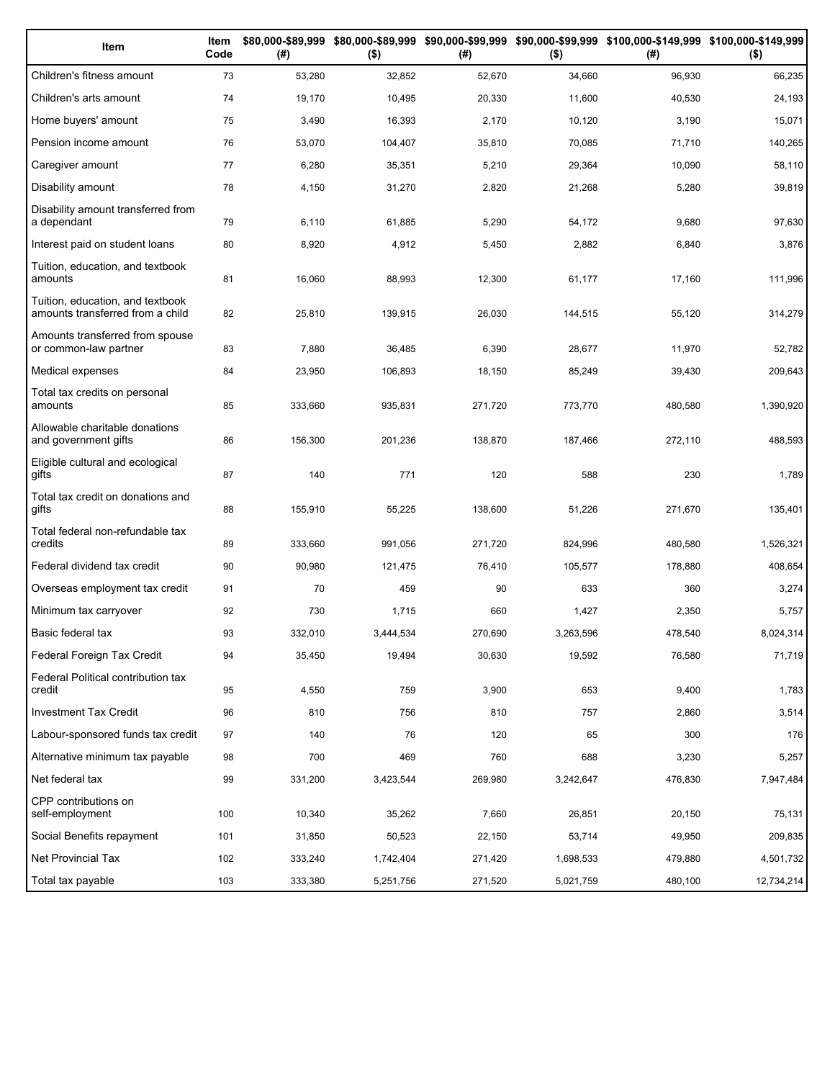| Item                                                                 | Item<br>Code | (# )    | $($ \$)   | (#)     | $($ \$)   | \$80,000-\$89,999 \$80,000-\$89,999 \$90,000-\$99,999 \$90,000-\$99,999 \$100,000-\$149,999 \$100,000-\$149,999<br>(#) | $($ \$)    |
|----------------------------------------------------------------------|--------------|---------|-----------|---------|-----------|------------------------------------------------------------------------------------------------------------------------|------------|
| Children's fitness amount                                            | 73           | 53,280  | 32,852    | 52,670  | 34,660    | 96,930                                                                                                                 | 66,235     |
| Children's arts amount                                               | 74           | 19,170  | 10,495    | 20,330  | 11,600    | 40,530                                                                                                                 | 24,193     |
| Home buyers' amount                                                  | 75           | 3,490   | 16,393    | 2,170   | 10,120    | 3,190                                                                                                                  | 15,071     |
| Pension income amount                                                | 76           | 53,070  | 104,407   | 35,810  | 70,085    | 71,710                                                                                                                 | 140,265    |
| Caregiver amount                                                     | 77           | 6,280   | 35,351    | 5,210   | 29,364    | 10,090                                                                                                                 | 58,110     |
| Disability amount                                                    | 78           | 4,150   | 31,270    | 2,820   | 21,268    | 5,280                                                                                                                  | 39,819     |
| Disability amount transferred from<br>a dependant                    | 79           | 6,110   | 61,885    | 5,290   | 54,172    | 9,680                                                                                                                  | 97,630     |
| Interest paid on student loans                                       | 80           | 8,920   | 4,912     | 5,450   | 2,882     | 6,840                                                                                                                  | 3,876      |
| Tuition, education, and textbook<br>amounts                          | 81           | 16,060  | 88,993    | 12,300  | 61,177    | 17,160                                                                                                                 | 111,996    |
| Tuition, education, and textbook<br>amounts transferred from a child | 82           | 25,810  | 139,915   | 26,030  | 144,515   | 55,120                                                                                                                 | 314,279    |
| Amounts transferred from spouse<br>or common-law partner             | 83           | 7,880   | 36,485    | 6,390   | 28,677    | 11,970                                                                                                                 | 52,782     |
| Medical expenses                                                     | 84           | 23,950  | 106,893   | 18,150  | 85,249    | 39,430                                                                                                                 | 209,643    |
| Total tax credits on personal<br>amounts                             | 85           | 333,660 | 935,831   | 271,720 | 773,770   | 480,580                                                                                                                | 1,390,920  |
| Allowable charitable donations<br>and government gifts               | 86           | 156,300 | 201,236   | 138,870 | 187,466   | 272,110                                                                                                                | 488,593    |
| Eligible cultural and ecological<br>gifts                            | 87           | 140     | 771       | 120     | 588       | 230                                                                                                                    | 1,789      |
| Total tax credit on donations and<br>gifts                           | 88           | 155,910 | 55,225    | 138,600 | 51,226    | 271,670                                                                                                                | 135,401    |
| Total federal non-refundable tax<br>credits                          | 89           | 333,660 | 991,056   | 271,720 | 824,996   | 480,580                                                                                                                | 1,526,321  |
| Federal dividend tax credit                                          | 90           | 90,980  | 121,475   | 76,410  | 105,577   | 178,880                                                                                                                | 408,654    |
| Overseas employment tax credit                                       | 91           | 70      | 459       | 90      | 633       | 360                                                                                                                    | 3,274      |
| Minimum tax carryover                                                | 92           | 730     | 1,715     | 660     | 1,427     | 2,350                                                                                                                  | 5,757      |
| Basic federal tax                                                    | 93           | 332,010 | 3,444,534 | 270,690 | 3,263,596 | 478,540                                                                                                                | 8,024,314  |
| Federal Foreign Tax Credit                                           | 94           | 35,450  | 19,494    | 30,630  | 19,592    | 76,580                                                                                                                 | 71,719     |
| Federal Political contribution tax<br>credit                         | 95           | 4,550   | 759       | 3,900   | 653       | 9,400                                                                                                                  | 1,783      |
| <b>Investment Tax Credit</b>                                         | 96           | 810     | 756       | 810     | 757       | 2,860                                                                                                                  | 3,514      |
| Labour-sponsored funds tax credit                                    | 97           | 140     | 76        | 120     | 65        | 300                                                                                                                    | 176        |
| Alternative minimum tax payable                                      | 98           | 700     | 469       | 760     | 688       | 3,230                                                                                                                  | 5,257      |
| Net federal tax                                                      | 99           | 331,200 | 3,423,544 | 269,980 | 3,242,647 | 476,830                                                                                                                | 7,947,484  |
| CPP contributions on<br>self-employment                              | 100          | 10,340  | 35,262    | 7,660   | 26,851    | 20,150                                                                                                                 | 75,131     |
| Social Benefits repayment                                            | 101          | 31,850  | 50,523    | 22,150  | 53,714    | 49,950                                                                                                                 | 209,835    |
| Net Provincial Tax                                                   | 102          | 333,240 | 1,742,404 | 271,420 | 1,698,533 | 479,880                                                                                                                | 4,501,732  |
| Total tax payable                                                    | 103          | 333,380 | 5,251,756 | 271,520 | 5,021,759 | 480,100                                                                                                                | 12,734,214 |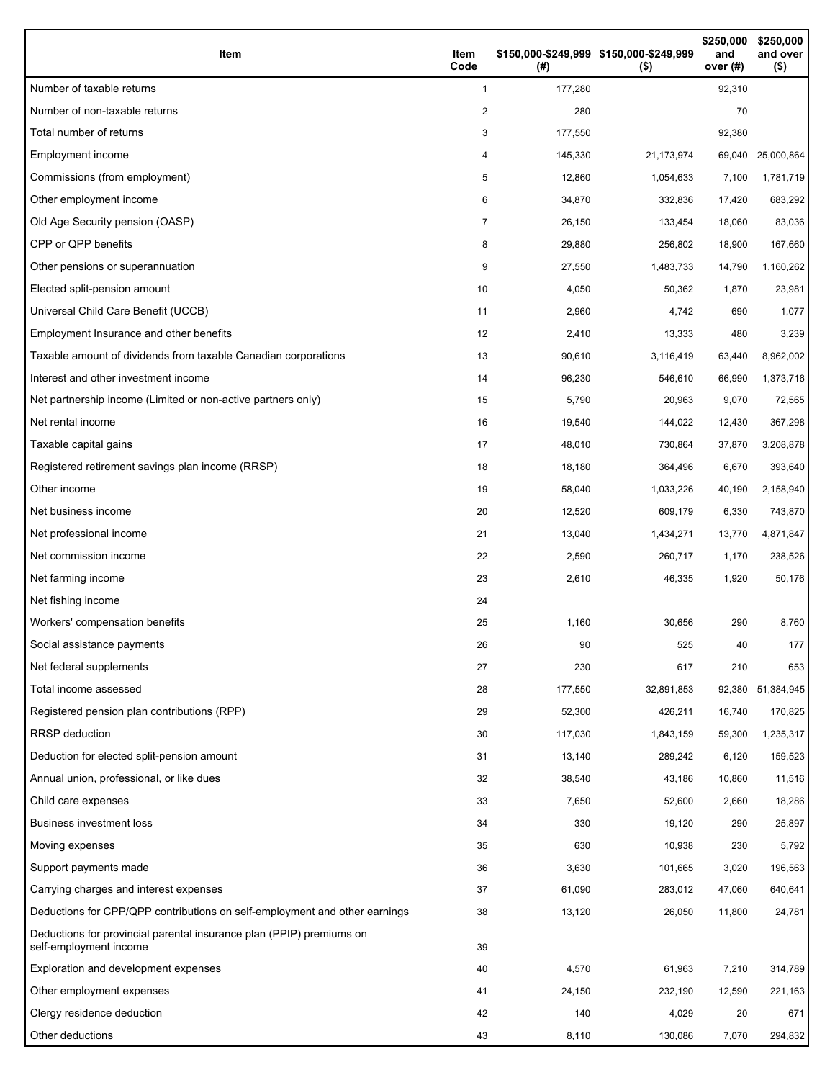| Item                                                                                           | Item<br>Code | \$150,000-\$249,999 \$150,000-\$249,999<br>(#) | $($ \$)    | \$250,000<br>and<br>over $(#)$ | \$250,000<br>and over<br>$($ \$) |
|------------------------------------------------------------------------------------------------|--------------|------------------------------------------------|------------|--------------------------------|----------------------------------|
| Number of taxable returns                                                                      | 1            | 177,280                                        |            | 92,310                         |                                  |
| Number of non-taxable returns                                                                  | 2            | 280                                            |            | 70                             |                                  |
| Total number of returns                                                                        | 3            | 177,550                                        |            | 92,380                         |                                  |
| Employment income                                                                              | 4            | 145,330                                        | 21,173,974 | 69,040                         | 25,000,864                       |
| Commissions (from employment)                                                                  | 5            | 12,860                                         | 1,054,633  | 7,100                          | 1,781,719                        |
| Other employment income                                                                        | 6            | 34,870                                         | 332,836    | 17,420                         | 683,292                          |
| Old Age Security pension (OASP)                                                                | 7            | 26,150                                         | 133,454    | 18,060                         | 83,036                           |
| CPP or QPP benefits                                                                            | 8            | 29,880                                         | 256,802    | 18,900                         | 167,660                          |
| Other pensions or superannuation                                                               | 9            | 27,550                                         | 1,483,733  | 14,790                         | 1,160,262                        |
| Elected split-pension amount                                                                   | 10           | 4,050                                          | 50,362     | 1,870                          | 23,981                           |
| Universal Child Care Benefit (UCCB)                                                            | 11           | 2,960                                          | 4,742      | 690                            | 1,077                            |
| Employment Insurance and other benefits                                                        | 12           | 2,410                                          | 13,333     | 480                            | 3,239                            |
| Taxable amount of dividends from taxable Canadian corporations                                 | 13           | 90,610                                         | 3,116,419  | 63,440                         | 8,962,002                        |
| Interest and other investment income                                                           | 14           | 96,230                                         | 546,610    | 66,990                         | 1,373,716                        |
| Net partnership income (Limited or non-active partners only)                                   | 15           | 5,790                                          | 20,963     | 9,070                          | 72,565                           |
| Net rental income                                                                              | 16           | 19,540                                         | 144,022    | 12,430                         | 367,298                          |
| Taxable capital gains                                                                          | 17           | 48,010                                         | 730,864    | 37,870                         | 3,208,878                        |
| Registered retirement savings plan income (RRSP)                                               | 18           | 18,180                                         | 364,496    | 6,670                          | 393,640                          |
| Other income                                                                                   | 19           | 58,040                                         | 1,033,226  | 40,190                         | 2,158,940                        |
| Net business income                                                                            | 20           | 12,520                                         | 609,179    | 6,330                          | 743,870                          |
| Net professional income                                                                        | 21           | 13,040                                         | 1,434,271  | 13,770                         | 4,871,847                        |
| Net commission income                                                                          | 22           | 2,590                                          | 260,717    | 1,170                          | 238,526                          |
| Net farming income                                                                             | 23           | 2,610                                          | 46,335     | 1,920                          | 50,176                           |
| Net fishing income                                                                             | 24           |                                                |            |                                |                                  |
| Workers' compensation benefits                                                                 | 25           | 1,160                                          | 30,656     | 290                            | 8,760                            |
| Social assistance payments                                                                     | 26           | 90                                             | 525        | 40                             | 177                              |
| Net federal supplements                                                                        | 27           | 230                                            | 617        | 210                            | 653                              |
| Total income assessed                                                                          | 28           | 177,550                                        | 32,891,853 | 92,380                         | 51,384,945                       |
| Registered pension plan contributions (RPP)                                                    | 29           | 52,300                                         | 426,211    | 16,740                         | 170,825                          |
| RRSP deduction                                                                                 | 30           | 117,030                                        | 1,843,159  | 59,300                         | 1,235,317                        |
| Deduction for elected split-pension amount                                                     | 31           | 13,140                                         | 289,242    | 6,120                          | 159,523                          |
| Annual union, professional, or like dues                                                       | 32           | 38,540                                         | 43,186     | 10,860                         | 11,516                           |
| Child care expenses                                                                            | 33           | 7,650                                          | 52,600     | 2,660                          | 18,286                           |
| <b>Business investment loss</b>                                                                | 34           | 330                                            | 19,120     | 290                            | 25,897                           |
| Moving expenses                                                                                | 35           | 630                                            | 10,938     | 230                            | 5,792                            |
| Support payments made                                                                          | 36           | 3,630                                          | 101,665    | 3,020                          | 196,563                          |
| Carrying charges and interest expenses                                                         | 37           | 61,090                                         | 283,012    | 47,060                         | 640,641                          |
| Deductions for CPP/QPP contributions on self-employment and other earnings                     | 38           | 13,120                                         | 26,050     | 11,800                         | 24,781                           |
| Deductions for provincial parental insurance plan (PPIP) premiums on<br>self-employment income | 39           |                                                |            |                                |                                  |
| Exploration and development expenses                                                           | 40           | 4,570                                          | 61,963     | 7,210                          | 314,789                          |
| Other employment expenses                                                                      | 41           | 24,150                                         | 232,190    | 12,590                         | 221,163                          |
| Clergy residence deduction                                                                     | 42           | 140                                            | 4,029      | 20                             | 671                              |
| Other deductions                                                                               | 43           | 8,110                                          | 130,086    | 7,070                          | 294,832                          |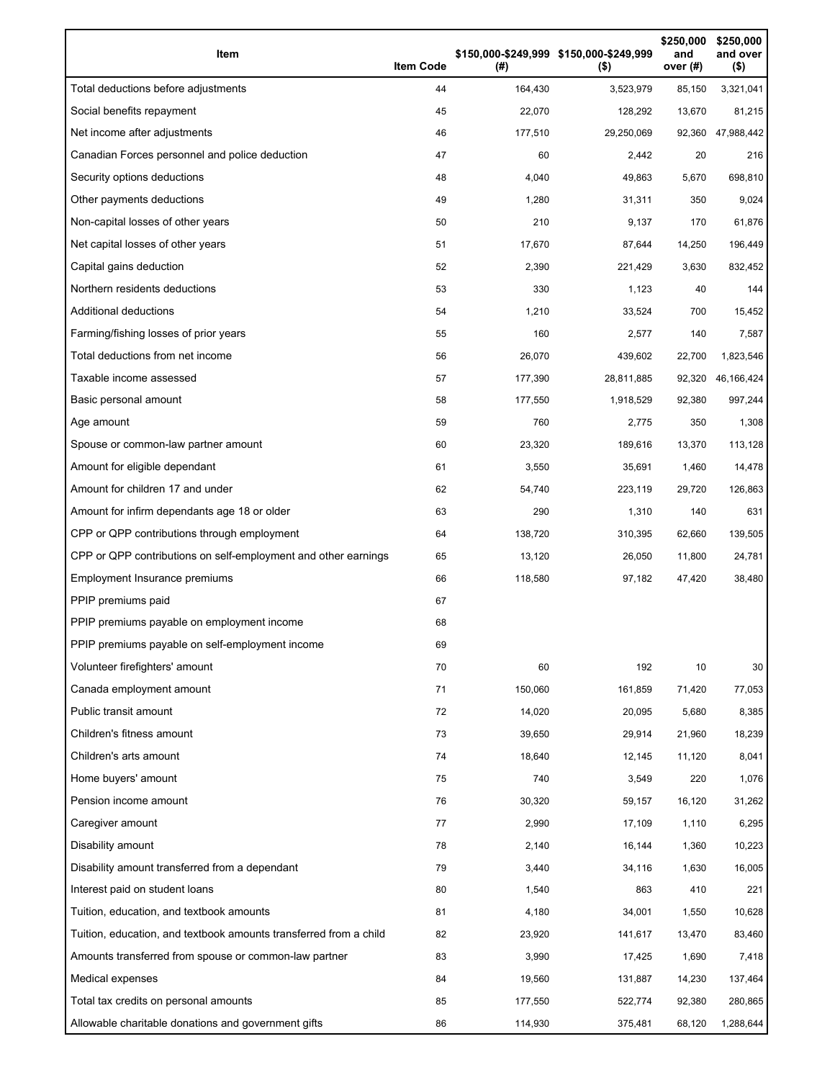| Item                                                              | <b>Item Code</b> | (#)     | \$150,000-\$249,999 \$150,000-\$249,999<br>$($ \$) | \$250,000<br>and<br>over $(H)$ | \$250,000<br>and over<br>$($ \$) |
|-------------------------------------------------------------------|------------------|---------|----------------------------------------------------|--------------------------------|----------------------------------|
| Total deductions before adjustments                               | 44               | 164,430 | 3,523,979                                          | 85,150                         | 3,321,041                        |
| Social benefits repayment                                         | 45               | 22,070  | 128,292                                            | 13,670                         | 81,215                           |
| Net income after adjustments                                      | 46               | 177,510 | 29,250,069                                         |                                | 92,360 47,988,442                |
| Canadian Forces personnel and police deduction                    | 47               | 60      | 2,442                                              | 20                             | 216                              |
| Security options deductions                                       | 48               | 4,040   | 49,863                                             | 5,670                          | 698,810                          |
| Other payments deductions                                         | 49               | 1,280   | 31,311                                             | 350                            | 9,024                            |
| Non-capital losses of other years                                 | 50               | 210     | 9,137                                              | 170                            | 61,876                           |
| Net capital losses of other years                                 | 51               | 17,670  | 87,644                                             | 14,250                         | 196,449                          |
| Capital gains deduction                                           | 52               | 2,390   | 221,429                                            | 3,630                          | 832,452                          |
| Northern residents deductions                                     | 53               | 330     | 1,123                                              | 40                             | 144                              |
| Additional deductions                                             | 54               | 1,210   | 33,524                                             | 700                            | 15,452                           |
| Farming/fishing losses of prior years                             | 55               | 160     | 2,577                                              | 140                            | 7,587                            |
| Total deductions from net income                                  | 56               | 26,070  | 439,602                                            | 22,700                         | 1,823,546                        |
| Taxable income assessed                                           | 57               | 177,390 | 28,811,885                                         | 92,320                         | 46,166,424                       |
| Basic personal amount                                             | 58               | 177,550 | 1,918,529                                          | 92,380                         | 997,244                          |
| Age amount                                                        | 59               | 760     | 2,775                                              | 350                            | 1,308                            |
| Spouse or common-law partner amount                               | 60               | 23,320  | 189,616                                            | 13,370                         | 113,128                          |
| Amount for eligible dependant                                     | 61               | 3,550   | 35,691                                             | 1,460                          | 14,478                           |
| Amount for children 17 and under                                  | 62               | 54,740  | 223,119                                            | 29,720                         | 126,863                          |
| Amount for infirm dependants age 18 or older                      | 63               | 290     | 1,310                                              | 140                            | 631                              |
| CPP or QPP contributions through employment                       | 64               | 138,720 | 310,395                                            | 62,660                         | 139,505                          |
| CPP or QPP contributions on self-employment and other earnings    | 65               | 13,120  | 26,050                                             | 11,800                         | 24,781                           |
| Employment Insurance premiums                                     | 66               | 118,580 | 97,182                                             | 47,420                         | 38,480                           |
| PPIP premiums paid                                                | 67               |         |                                                    |                                |                                  |
| PPIP premiums payable on employment income                        | 68               |         |                                                    |                                |                                  |
| PPIP premiums payable on self-employment income                   | 69               |         |                                                    |                                |                                  |
| Volunteer firefighters' amount                                    | 70               | 60      | 192                                                | 10                             | 30                               |
| Canada employment amount                                          | 71               | 150,060 | 161,859                                            | 71,420                         | 77,053                           |
| Public transit amount                                             | 72               | 14,020  | 20,095                                             | 5,680                          | 8,385                            |
| Children's fitness amount                                         | 73               | 39,650  | 29,914                                             | 21,960                         | 18,239                           |
| Children's arts amount                                            | 74               | 18,640  | 12,145                                             | 11,120                         | 8,041                            |
| Home buyers' amount                                               | 75               | 740     | 3,549                                              | 220                            | 1,076                            |
| Pension income amount                                             | 76               | 30,320  | 59,157                                             | 16,120                         | 31,262                           |
| Caregiver amount                                                  | 77               | 2,990   | 17,109                                             | 1,110                          | 6,295                            |
| Disability amount                                                 | 78               | 2,140   | 16,144                                             | 1,360                          | 10,223                           |
| Disability amount transferred from a dependant                    | 79               | 3,440   | 34,116                                             | 1,630                          | 16,005                           |
| Interest paid on student loans                                    | 80               | 1,540   | 863                                                | 410                            | 221                              |
| Tuition, education, and textbook amounts                          | 81               | 4,180   | 34,001                                             | 1,550                          | 10,628                           |
| Tuition, education, and textbook amounts transferred from a child | 82               | 23,920  | 141,617                                            | 13,470                         | 83,460                           |
| Amounts transferred from spouse or common-law partner             | 83               | 3,990   | 17,425                                             | 1,690                          | 7,418                            |
| Medical expenses                                                  | 84               | 19,560  | 131,887                                            | 14,230                         | 137,464                          |
| Total tax credits on personal amounts                             | 85               | 177,550 | 522,774                                            | 92,380                         | 280,865                          |
| Allowable charitable donations and government gifts               | 86               | 114,930 | 375,481                                            | 68,120                         | 1,288,644                        |